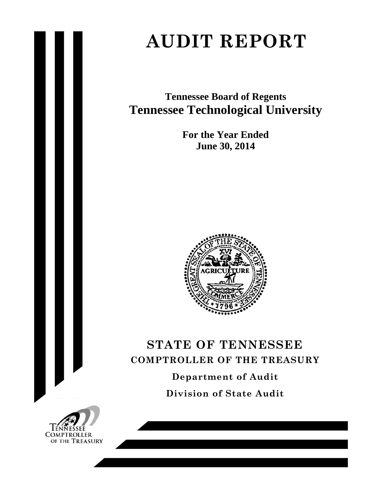# **AUDIT REPORT**

**Tennessee Board of Regents Tennessee Technological University** 

> **For the Year Ended June 30, 2014**



# **STATE OF TENNESSEE COMPTROLLER OF THE TREASURY Department of Audit**

**Division of State Audit** 

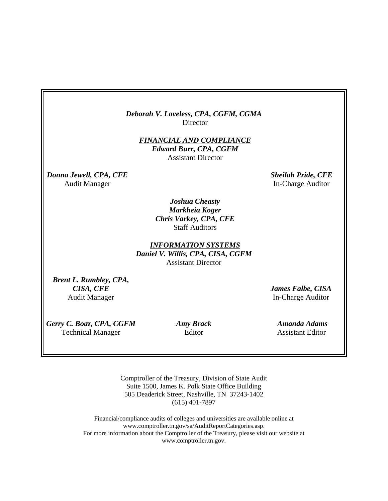*Deborah V. Loveless, CPA, CGFM, CGMA* **Director** 

> *FINANCIAL AND COMPLIANCE Edward Burr, CPA, CGFM*  Assistant Director

*Donna Jewell, CPA, CFE* Sheilah Pride, CFE

Audit Manager **In-Charge Auditor** 

*Joshua Cheasty Markheia Koger Chris Varkey, CPA, CFE*  Staff Auditors

*INFORMATION SYSTEMS Daniel V. Willis, CPA, CISA, CGFM*  Assistant Director

*Brent L. Rumbley, CPA, CISA, CFE*  Audit Manager

*James Falbe, CISA*  In-Charge Auditor

*Gerry C. Boaz, CPA, CGFM Amy Brack Amanda Adams*  Technical Manager Editor Assistant Editor

Comptroller of the Treasury, Division of State Audit Suite 1500, James K. Polk State Office Building 505 Deaderick Street, Nashville, TN 37243-1402 (615) 401-7897

Financial/compliance audits of colleges and universities are available online at www.comptroller.tn.gov/sa/AuditReportCategories.asp. For more information about the Comptroller of the Treasury, please visit our website at www.comptroller.tn.gov.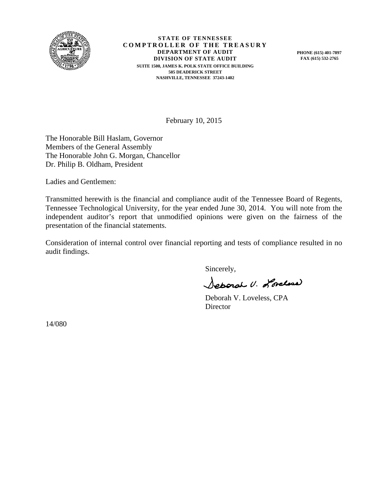

**STATE OF TENNESSEE COMPTROLLER OF THE TREASURY DEPARTMENT OF AUDIT DIVISION OF STATE AUDIT SUITE 1500, JAMES K. POLK STATE OFFICE BUILDING 505 DEADERICK STREET NASHVILLE, TENNESSEE 37243-1402** 

**PHONE (615) 401-7897 FAX (615) 532-2765** 

February 10, 2015

The Honorable Bill Haslam, Governor Members of the General Assembly The Honorable John G. Morgan, Chancellor Dr. Philip B. Oldham, President

Ladies and Gentlemen:

Transmitted herewith is the financial and compliance audit of the Tennessee Board of Regents, Tennessee Technological University, for the year ended June 30, 2014. You will note from the independent auditor's report that unmodified opinions were given on the fairness of the presentation of the financial statements.

Consideration of internal control over financial reporting and tests of compliance resulted in no audit findings.

Sincerely,

Seporal U. Loreland

 Deborah V. Loveless, CPA Director

14/080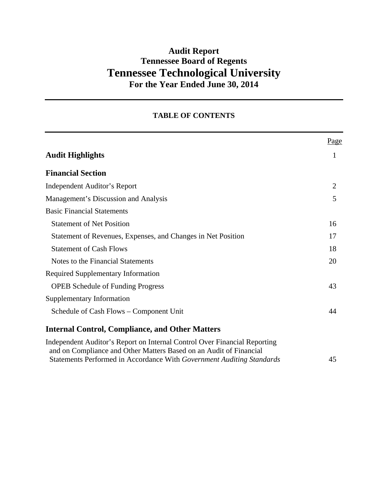# **Audit Report Tennessee Board of Regents Tennessee Technological University For the Year Ended June 30, 2014**

## **TABLE OF CONTENTS**

|                                                                                                                                                                                                                          | Page           |
|--------------------------------------------------------------------------------------------------------------------------------------------------------------------------------------------------------------------------|----------------|
| <b>Audit Highlights</b>                                                                                                                                                                                                  | 1              |
| <b>Financial Section</b>                                                                                                                                                                                                 |                |
| <b>Independent Auditor's Report</b>                                                                                                                                                                                      | $\overline{2}$ |
| Management's Discussion and Analysis                                                                                                                                                                                     | 5              |
| <b>Basic Financial Statements</b>                                                                                                                                                                                        |                |
| <b>Statement of Net Position</b>                                                                                                                                                                                         | 16             |
| Statement of Revenues, Expenses, and Changes in Net Position                                                                                                                                                             | 17             |
| <b>Statement of Cash Flows</b>                                                                                                                                                                                           | 18             |
| Notes to the Financial Statements                                                                                                                                                                                        | 20             |
| <b>Required Supplementary Information</b>                                                                                                                                                                                |                |
| <b>OPEB</b> Schedule of Funding Progress                                                                                                                                                                                 | 43             |
| Supplementary Information                                                                                                                                                                                                |                |
| Schedule of Cash Flows - Component Unit                                                                                                                                                                                  | 44             |
| <b>Internal Control, Compliance, and Other Matters</b>                                                                                                                                                                   |                |
| Independent Auditor's Report on Internal Control Over Financial Reporting<br>and on Compliance and Other Matters Based on an Audit of Financial<br>Statements Performed in Accordance With Government Auditing Standards | 45             |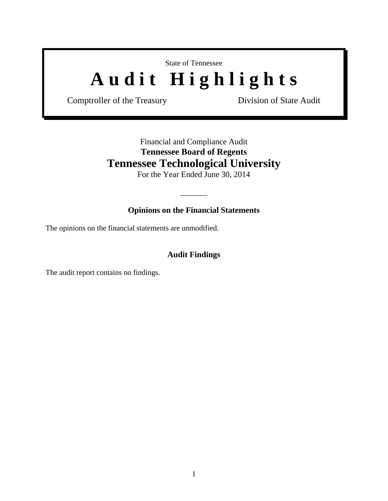# State of Tennessee Audit Highlights

Comptroller of the Treasury **Division of State Audit** 

## Financial and Compliance Audit **Tennessee Board of Regents Tennessee Technological University**

For the Year Ended June 30, 2014

## **Opinions on the Financial Statements**

 $\overline{\phantom{a}}$ 

The opinions on the financial statements are unmodified.

## **Audit Findings**

The audit report contains no findings.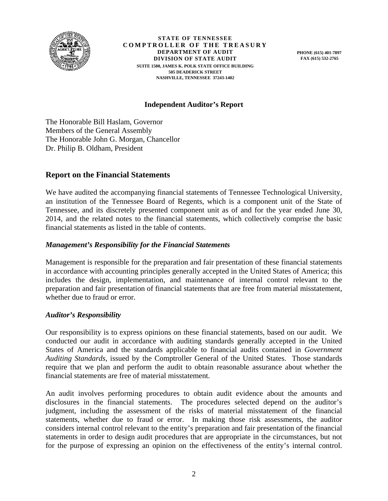

**STATE OF TENNESSEE COMPTROLLER OF THE TREASURY DEPARTMENT OF AUDIT DIVISION OF STATE AUDIT SUITE 1500, JAMES K. POLK STATE OFFICE BUILDING 505 DEADERICK STREET NASHVILLE, TENNESSEE 37243-1402** 

**PHONE (615) 401-7897 FAX (615) 532-2765** 

## **Independent Auditor's Report**

The Honorable Bill Haslam, Governor Members of the General Assembly The Honorable John G. Morgan, Chancellor Dr. Philip B. Oldham, President

## **Report on the Financial Statements**

We have audited the accompanying financial statements of Tennessee Technological University, an institution of the Tennessee Board of Regents, which is a component unit of the State of Tennessee, and its discretely presented component unit as of and for the year ended June 30, 2014, and the related notes to the financial statements, which collectively comprise the basic financial statements as listed in the table of contents.

#### *Management's Responsibility for the Financial Statements*

Management is responsible for the preparation and fair presentation of these financial statements in accordance with accounting principles generally accepted in the United States of America; this includes the design, implementation, and maintenance of internal control relevant to the preparation and fair presentation of financial statements that are free from material misstatement, whether due to fraud or error.

#### *Auditor's Responsibility*

Our responsibility is to express opinions on these financial statements, based on our audit. We conducted our audit in accordance with auditing standards generally accepted in the United States of America and the standards applicable to financial audits contained in *Government Auditing Standards*, issued by the Comptroller General of the United States. Those standards require that we plan and perform the audit to obtain reasonable assurance about whether the financial statements are free of material misstatement.

An audit involves performing procedures to obtain audit evidence about the amounts and disclosures in the financial statements. The procedures selected depend on the auditor's judgment, including the assessment of the risks of material misstatement of the financial statements, whether due to fraud or error. In making those risk assessments, the auditor considers internal control relevant to the entity's preparation and fair presentation of the financial statements in order to design audit procedures that are appropriate in the circumstances, but not for the purpose of expressing an opinion on the effectiveness of the entity's internal control.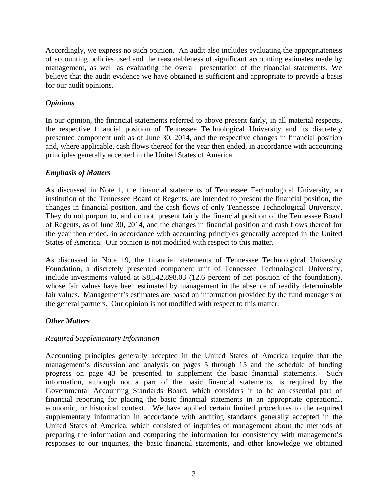Accordingly, we express no such opinion. An audit also includes evaluating the appropriateness of accounting policies used and the reasonableness of significant accounting estimates made by management, as well as evaluating the overall presentation of the financial statements. We believe that the audit evidence we have obtained is sufficient and appropriate to provide a basis for our audit opinions.

## *Opinions*

In our opinion, the financial statements referred to above present fairly, in all material respects, the respective financial position of Tennessee Technological University and its discretely presented component unit as of June 30, 2014, and the respective changes in financial position and, where applicable, cash flows thereof for the year then ended, in accordance with accounting principles generally accepted in the United States of America.

## *Emphasis of Matters*

As discussed in Note 1, the financial statements of Tennessee Technological University, an institution of the Tennessee Board of Regents, are intended to present the financial position, the changes in financial position, and the cash flows of only Tennessee Technological University. They do not purport to, and do not, present fairly the financial position of the Tennessee Board of Regents, as of June 30, 2014, and the changes in financial position and cash flows thereof for the year then ended, in accordance with accounting principles generally accepted in the United States of America. Our opinion is not modified with respect to this matter.

As discussed in Note 19, the financial statements of Tennessee Technological University Foundation, a discretely presented component unit of Tennessee Technological University, include investments valued at \$8,542,898.03 (12.6 percent of net position of the foundation), whose fair values have been estimated by management in the absence of readily determinable fair values. Management's estimates are based on information provided by the fund managers or the general partners. Our opinion is not modified with respect to this matter.

## *Other Matters*

## *Required Supplementary Information*

Accounting principles generally accepted in the United States of America require that the management's discussion and analysis on pages 5 through 15 and the schedule of funding progress on page 43 be presented to supplement the basic financial statements. Such information, although not a part of the basic financial statements, is required by the Governmental Accounting Standards Board, which considers it to be an essential part of financial reporting for placing the basic financial statements in an appropriate operational, economic, or historical context. We have applied certain limited procedures to the required supplementary information in accordance with auditing standards generally accepted in the United States of America, which consisted of inquiries of management about the methods of preparing the information and comparing the information for consistency with management's responses to our inquiries, the basic financial statements, and other knowledge we obtained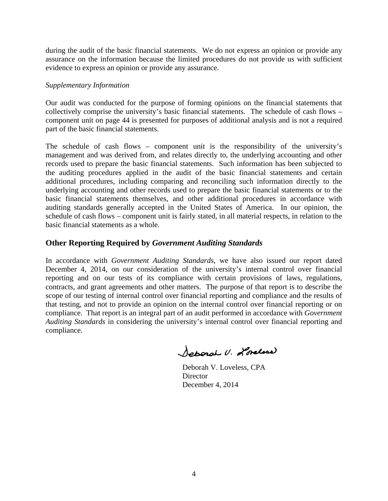during the audit of the basic financial statements. We do not express an opinion or provide any assurance on the information because the limited procedures do not provide us with sufficient evidence to express an opinion or provide any assurance.

#### *Supplementary Information*

Our audit was conducted for the purpose of forming opinions on the financial statements that collectively comprise the university's basic financial statements. The schedule of cash flows – component unit on page 44 is presented for purposes of additional analysis and is not a required part of the basic financial statements.

The schedule of cash flows – component unit is the responsibility of the university's management and was derived from, and relates directly to, the underlying accounting and other records used to prepare the basic financial statements. Such information has been subjected to the auditing procedures applied in the audit of the basic financial statements and certain additional procedures, including comparing and reconciling such information directly to the underlying accounting and other records used to prepare the basic financial statements or to the basic financial statements themselves, and other additional procedures in accordance with auditing standards generally accepted in the United States of America. In our opinion, the schedule of cash flows – component unit is fairly stated, in all material respects, in relation to the basic financial statements as a whole.

## **Other Reporting Required by** *Government Auditing Standards*

In accordance with *Government Auditing Standards*, we have also issued our report dated December 4, 2014, on our consideration of the university's internal control over financial reporting and on our tests of its compliance with certain provisions of laws, regulations, contracts, and grant agreements and other matters. The purpose of that report is to describe the scope of our testing of internal control over financial reporting and compliance and the results of that testing, and not to provide an opinion on the internal control over financial reporting or on compliance. That report is an integral part of an audit performed in accordance with *Government Auditing Standards* in considering the university's internal control over financial reporting and compliance.

Joharah U. Lorelian

 Deborah V. Loveless, CPA **Director** December 4, 2014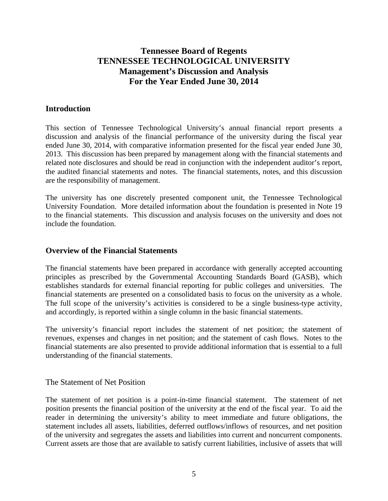## **Tennessee Board of Regents TENNESSEE TECHNOLOGICAL UNIVERSITY Management's Discussion and Analysis For the Year Ended June 30, 2014**

## **Introduction**

This section of Tennessee Technological University's annual financial report presents a discussion and analysis of the financial performance of the university during the fiscal year ended June 30, 2014, with comparative information presented for the fiscal year ended June 30, 2013. This discussion has been prepared by management along with the financial statements and related note disclosures and should be read in conjunction with the independent auditor's report, the audited financial statements and notes. The financial statements, notes, and this discussion are the responsibility of management.

The university has one discretely presented component unit, the Tennessee Technological University Foundation. More detailed information about the foundation is presented in Note 19 to the financial statements. This discussion and analysis focuses on the university and does not include the foundation.

#### **Overview of the Financial Statements**

The financial statements have been prepared in accordance with generally accepted accounting principles as prescribed by the Governmental Accounting Standards Board (GASB), which establishes standards for external financial reporting for public colleges and universities. The financial statements are presented on a consolidated basis to focus on the university as a whole. The full scope of the university's activities is considered to be a single business-type activity, and accordingly, is reported within a single column in the basic financial statements.

The university's financial report includes the statement of net position; the statement of revenues, expenses and changes in net position; and the statement of cash flows. Notes to the financial statements are also presented to provide additional information that is essential to a full understanding of the financial statements.

## The Statement of Net Position

The statement of net position is a point-in-time financial statement. The statement of net position presents the financial position of the university at the end of the fiscal year. To aid the reader in determining the university's ability to meet immediate and future obligations, the statement includes all assets, liabilities, deferred outflows/inflows of resources, and net position of the university and segregates the assets and liabilities into current and noncurrent components. Current assets are those that are available to satisfy current liabilities, inclusive of assets that will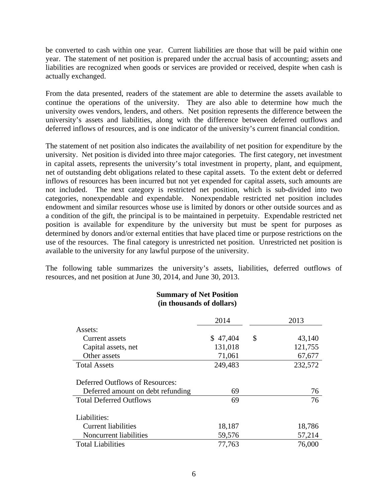be converted to cash within one year. Current liabilities are those that will be paid within one year. The statement of net position is prepared under the accrual basis of accounting; assets and liabilities are recognized when goods or services are provided or received, despite when cash is actually exchanged.

From the data presented, readers of the statement are able to determine the assets available to continue the operations of the university. They are also able to determine how much the university owes vendors, lenders, and others. Net position represents the difference between the university's assets and liabilities, along with the difference between deferred outflows and deferred inflows of resources, and is one indicator of the university's current financial condition.

The statement of net position also indicates the availability of net position for expenditure by the university. Net position is divided into three major categories. The first category, net investment in capital assets, represents the university's total investment in property, plant, and equipment, net of outstanding debt obligations related to these capital assets. To the extent debt or deferred inflows of resources has been incurred but not yet expended for capital assets, such amounts are not included. The next category is restricted net position, which is sub-divided into two categories, nonexpendable and expendable. Nonexpendable restricted net position includes endowment and similar resources whose use is limited by donors or other outside sources and as a condition of the gift, the principal is to be maintained in perpetuity. Expendable restricted net position is available for expenditure by the university but must be spent for purposes as determined by donors and/or external entities that have placed time or purpose restrictions on the use of the resources. The final category is unrestricted net position. Unrestricted net position is available to the university for any lawful purpose of the university.

The following table summarizes the university's assets, liabilities, deferred outflows of resources, and net position at June 30, 2014, and June 30, 2013.

> **Summary of Net Position (in thousands of dollars)**

|                                                                      | 2014     | 2013         |
|----------------------------------------------------------------------|----------|--------------|
| Assets:                                                              |          |              |
| Current assets                                                       | \$47,404 | \$<br>43,140 |
| Capital assets, net                                                  | 131,018  | 121,755      |
| Other assets                                                         | 71,061   | 67,677       |
| <b>Total Assets</b>                                                  | 249,483  | 232,572      |
| Deferred Outflows of Resources:<br>Deferred amount on debt refunding | 69       | 76           |
| <b>Total Deferred Outflows</b>                                       | 69       | 76           |
| Liabilities:                                                         |          |              |
| <b>Current liabilities</b>                                           | 18,187   | 18,786       |
| Noncurrent liabilities                                               | 59,576   | 57,214       |
| <b>Total Liabilities</b>                                             | 77,763   | 76,000       |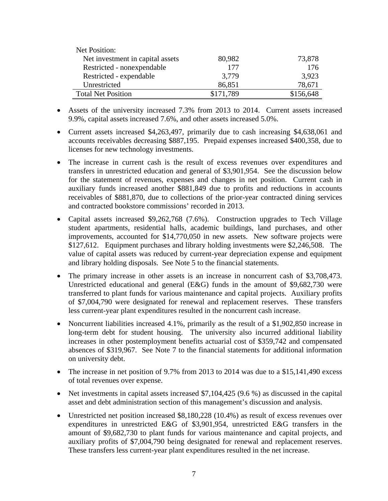| Net Position:                    |           |           |
|----------------------------------|-----------|-----------|
| Net investment in capital assets | 80,982    | 73,878    |
| Restricted - nonexpendable       | 177       | 176       |
| Restricted - expendable          | 3,779     | 3,923     |
| Unrestricted                     | 86,851    | 78,671    |
| <b>Total Net Position</b>        | \$171,789 | \$156,648 |

- Assets of the university increased 7.3% from 2013 to 2014. Current assets increased 9.9%, capital assets increased 7.6%, and other assets increased 5.0%.
- Current assets increased \$4,263,497, primarily due to cash increasing \$4,638,061 and accounts receivables decreasing \$887,195. Prepaid expenses increased \$400,358, due to licenses for new technology investments.
- The increase in current cash is the result of excess revenues over expenditures and transfers in unrestricted education and general of \$3,901,954. See the discussion below for the statement of revenues, expenses and changes in net position. Current cash in auxiliary funds increased another \$881,849 due to profits and reductions in accounts receivables of \$881,870, due to collections of the prior-year contracted dining services and contracted bookstore commissions' recorded in 2013.
- Capital assets increased \$9,262,768 (7.6%). Construction upgrades to Tech Village student apartments, residential halls, academic buildings, land purchases, and other improvements, accounted for \$14,770,050 in new assets. New software projects were \$127,612. Equipment purchases and library holding investments were \$2,246,508. The value of capital assets was reduced by current-year depreciation expense and equipment and library holding disposals. See Note 5 to the financial statements.
- The primary increase in other assets is an increase in noncurrent cash of \$3,708,473. Unrestricted educational and general (E&G) funds in the amount of \$9,682,730 were transferred to plant funds for various maintenance and capital projects. Auxiliary profits of \$7,004,790 were designated for renewal and replacement reserves. These transfers less current-year plant expenditures resulted in the noncurrent cash increase.
- Noncurrent liabilities increased 4.1%, primarily as the result of a \$1,902,850 increase in long-term debt for student housing. The university also incurred additional liability increases in other postemployment benefits actuarial cost of \$359,742 and compensated absences of \$319,967. See Note 7 to the financial statements for additional information on university debt.
- The increase in net position of 9.7% from 2013 to 2014 was due to a \$15,141,490 excess of total revenues over expense.
- Net investments in capital assets increased \$7,104,425 (9.6 %) as discussed in the capital asset and debt administration section of this management's discussion and analysis.
- Unrestricted net position increased \$8,180,228 (10.4%) as result of excess revenues over expenditures in unrestricted E&G of \$3,901,954, unrestricted E&G transfers in the amount of \$9,682,730 to plant funds for various maintenance and capital projects, and auxiliary profits of \$7,004,790 being designated for renewal and replacement reserves. These transfers less current-year plant expenditures resulted in the net increase.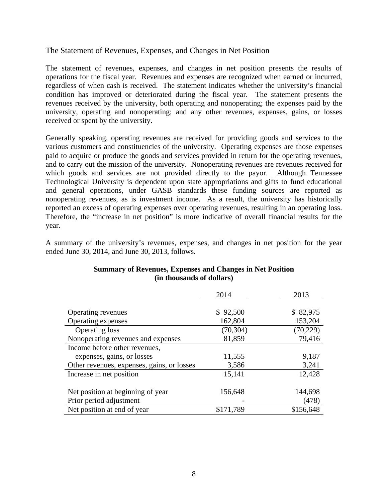## The Statement of Revenues, Expenses, and Changes in Net Position

The statement of revenues, expenses, and changes in net position presents the results of operations for the fiscal year. Revenues and expenses are recognized when earned or incurred, regardless of when cash is received. The statement indicates whether the university's financial condition has improved or deteriorated during the fiscal year. The statement presents the revenues received by the university, both operating and nonoperating; the expenses paid by the university, operating and nonoperating; and any other revenues, expenses, gains, or losses received or spent by the university.

Generally speaking, operating revenues are received for providing goods and services to the various customers and constituencies of the university. Operating expenses are those expenses paid to acquire or produce the goods and services provided in return for the operating revenues, and to carry out the mission of the university. Nonoperating revenues are revenues received for which goods and services are not provided directly to the payor.Although Tennessee Technological University is dependent upon state appropriations and gifts to fund educational and general operations, under GASB standards these funding sources are reported as nonoperating revenues, as is investment income. As a result, the university has historically reported an excess of operating expenses over operating revenues, resulting in an operating loss. Therefore, the "increase in net position" is more indicative of overall financial results for the year.

A summary of the university's revenues, expenses, and changes in net position for the year ended June 30, 2014, and June 30, 2013, follows.

|                                            | 2014      | 2013      |
|--------------------------------------------|-----------|-----------|
|                                            |           |           |
| Operating revenues                         | \$92,500  | \$82,975  |
| Operating expenses                         | 162,804   | 153,204   |
| <b>Operating loss</b>                      | (70, 304) | (70, 229) |
| Nonoperating revenues and expenses         | 81,859    | 79,416    |
| Income before other revenues,              |           |           |
| expenses, gains, or losses                 | 11,555    | 9,187     |
| Other revenues, expenses, gains, or losses | 3,586     | 3,241     |
| Increase in net position                   | 15,141    | 12,428    |
| Net position at beginning of year.         | 156,648   | 144,698   |
|                                            |           |           |
| Prior period adjustment                    |           | (478)     |
| Net position at end of year                | \$171,789 | \$156,648 |

## **Summary of Revenues, Expenses and Changes in Net Position (in thousands of dollars)**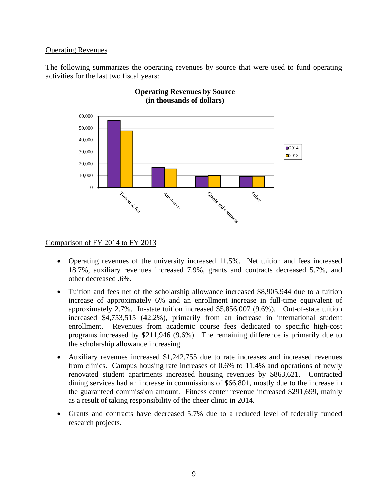#### Operating Revenues

The following summarizes the operating revenues by source that were used to fund operating activities for the last two fiscal years:



#### **Operating Revenues by Source (in thousands of dollars)**

#### Comparison of FY 2014 to FY 2013

- Operating revenues of the university increased 11.5%. Net tuition and fees increased 18.7%, auxiliary revenues increased 7.9%, grants and contracts decreased 5.7%, and other decreased .6%.
- Tuition and fees net of the scholarship allowance increased \$8,905,944 due to a tuition increase of approximately 6% and an enrollment increase in full-time equivalent of approximately 2.7%. In-state tuition increased \$5,856,007 (9.6%). Out-of-state tuition increased \$4,753,515 (42.2%), primarily from an increase in international student enrollment. Revenues from academic course fees dedicated to specific high-cost programs increased by \$211,946 (9.6%). The remaining difference is primarily due to the scholarship allowance increasing.
- Auxiliary revenues increased \$1,242,755 due to rate increases and increased revenues from clinics. Campus housing rate increases of 0.6% to 11.4% and operations of newly renovated student apartments increased housing revenues by \$863,621. Contracted dining services had an increase in commissions of \$66,801, mostly due to the increase in the guaranteed commission amount. Fitness center revenue increased \$291,699, mainly as a result of taking responsibility of the cheer clinic in 2014.
- Grants and contracts have decreased 5.7% due to a reduced level of federally funded research projects.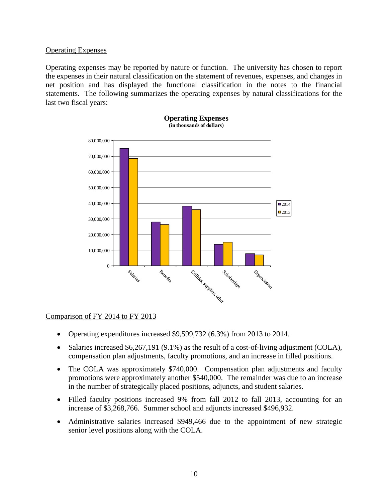#### Operating Expenses

Operating expenses may be reported by nature or function. The university has chosen to report the expenses in their natural classification on the statement of revenues, expenses, and changes in net position and has displayed the functional classification in the notes to the financial statements. The following summarizes the operating expenses by natural classifications for the last two fiscal years:



#### **Operating Expenses (in thousands of dollars)**

## Comparison of FY 2014 to FY 2013

- Operating expenditures increased \$9,599,732 (6.3%) from 2013 to 2014.
- Salaries increased \$6,267,191 (9.1%) as the result of a cost-of-living adjustment (COLA), compensation plan adjustments, faculty promotions, and an increase in filled positions.
- The COLA was approximately \$740,000. Compensation plan adjustments and faculty promotions were approximately another \$540,000. The remainder was due to an increase in the number of strategically placed positions, adjuncts, and student salaries.
- Filled faculty positions increased 9% from fall 2012 to fall 2013, accounting for an increase of \$3,268,766. Summer school and adjuncts increased \$496,932.
- Administrative salaries increased \$949,466 due to the appointment of new strategic senior level positions along with the COLA.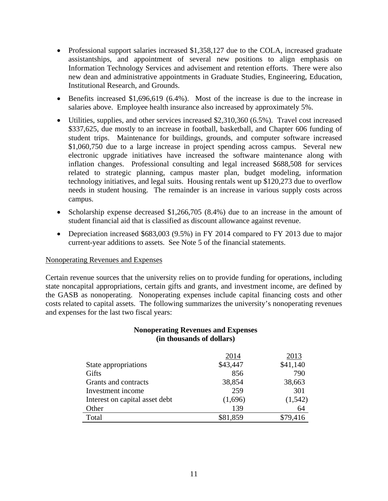- Professional support salaries increased \$1,358,127 due to the COLA, increased graduate assistantships, and appointment of several new positions to align emphasis on Information Technology Services and advisement and retention efforts. There were also new dean and administrative appointments in Graduate Studies, Engineering, Education, Institutional Research, and Grounds.
- Benefits increased \$1,696,619 (6.4%). Most of the increase is due to the increase in salaries above. Employee health insurance also increased by approximately 5%.
- Utilities, supplies, and other services increased \$2,310,360 (6.5%). Travel cost increased \$337,625, due mostly to an increase in football, basketball, and Chapter 606 funding of student trips. Maintenance for buildings, grounds, and computer software increased \$1,060,750 due to a large increase in project spending across campus. Several new electronic upgrade initiatives have increased the software maintenance along with inflation changes. Professional consulting and legal increased \$688,508 for services related to strategic planning, campus master plan, budget modeling, information technology initiatives, and legal suits. Housing rentals went up \$120,273 due to overflow needs in student housing. The remainder is an increase in various supply costs across campus.
- Scholarship expense decreased \$1,266,705 (8.4%) due to an increase in the amount of student financial aid that is classified as discount allowance against revenue.
- Depreciation increased \$683,003 (9.5%) in FY 2014 compared to FY 2013 due to major current-year additions to assets. See Note 5 of the financial statements.

#### Nonoperating Revenues and Expenses

Certain revenue sources that the university relies on to provide funding for operations, including state noncapital appropriations, certain gifts and grants, and investment income, are defined by the GASB as nonoperating. Nonoperating expenses include capital financing costs and other costs related to capital assets. The following summarizes the university's nonoperating revenues and expenses for the last two fiscal years:

#### **Nonoperating Revenues and Expenses (in thousands of dollars)**

|                                | 2014     | 2013     |
|--------------------------------|----------|----------|
| State appropriations           | \$43,447 | \$41,140 |
| Gifts                          | 856      | 790      |
| Grants and contracts           | 38,854   | 38,663   |
| Investment income              | 259      | 301      |
| Interest on capital asset debt | (1,696)  | (1, 542) |
| Other                          | 139      | 64       |
| Total                          | \$81,859 | \$79,416 |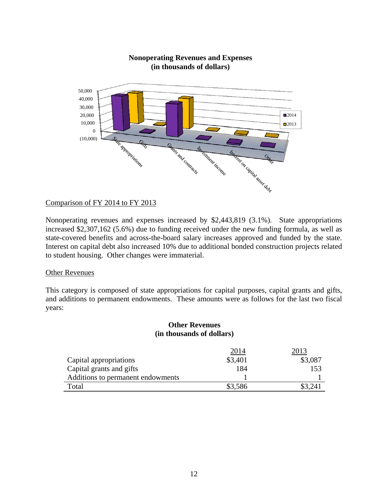

#### **Nonoperating Revenues and Expenses (in thousands of dollars)**

#### Comparison of FY 2014 to FY 2013

Nonoperating revenues and expenses increased by \$2,443,819 (3.1%). State appropriations increased \$2,307,162 (5.6%) due to funding received under the new funding formula, as well as state-covered benefits and across-the-board salary increases approved and funded by the state. Interest on capital debt also increased 10% due to additional bonded construction projects related to student housing. Other changes were immaterial.

#### Other Revenues

This category is composed of state appropriations for capital purposes, capital grants and gifts, and additions to permanent endowments. These amounts were as follows for the last two fiscal years:

#### **Other Revenues (in thousands of dollars)**

|                                   | <u> 2014</u> |         |
|-----------------------------------|--------------|---------|
| Capital appropriations            | \$3,401      | \$3,087 |
| Capital grants and gifts          | 184          | 153     |
| Additions to permanent endowments |              |         |
| Total                             | \$3,586      |         |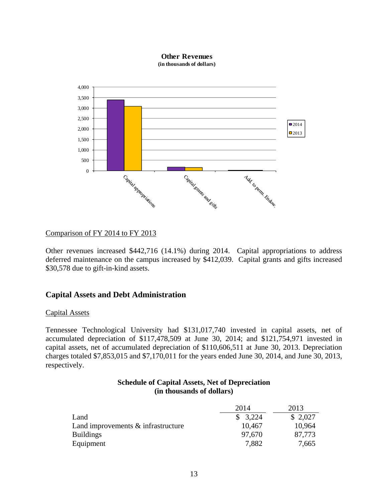

#### Comparison of FY 2014 to FY 2013

Other revenues increased \$442,716 (14.1%) during 2014. Capital appropriations to address deferred maintenance on the campus increased by \$412,039. Capital grants and gifts increased \$30,578 due to gift-in-kind assets.

#### **Capital Assets and Debt Administration**

#### Capital Assets

Tennessee Technological University had \$131,017,740 invested in capital assets, net of accumulated depreciation of \$117,478,509 at June 30, 2014; and \$121,754,971 invested in capital assets, net of accumulated depreciation of \$110,606,511 at June 30, 2013. Depreciation charges totaled \$7,853,015 and \$7,170,011 for the years ended June 30, 2014, and June 30, 2013, respectively.

| <b>Schedule of Capital Assets, Net of Depreciation</b> |
|--------------------------------------------------------|
| (in thousands of dollars)                              |

|                                       | 2014    | 2013    |
|---------------------------------------|---------|---------|
| Land                                  | \$3,224 | \$2,027 |
| Land improvements $\&$ infrastructure | 10,467  | 10,964  |
| <b>Buildings</b>                      | 97.670  | 87.773  |
| Equipment                             | 7,882   | 7,665   |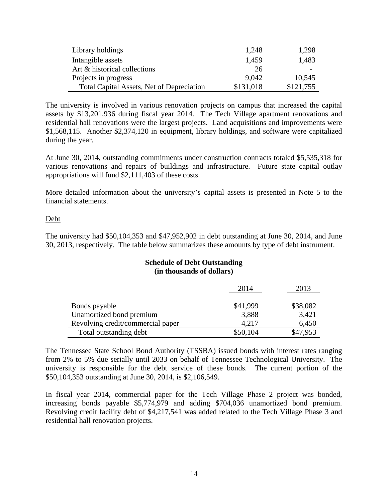| Library holdings                          | 1,248     | 1,298     |
|-------------------------------------------|-----------|-----------|
| Intangible assets                         | 1,459     | 1,483     |
| Art & historical collections              | 26        |           |
| Projects in progress                      | 9.042     | 10,545    |
| Total Capital Assets, Net of Depreciation | \$131,018 | \$121,755 |

The university is involved in various renovation projects on campus that increased the capital assets by \$13,201,936 during fiscal year 2014. The Tech Village apartment renovations and residential hall renovations were the largest projects. Land acquisitions and improvements were \$1,568,115. Another \$2,374,120 in equipment, library holdings, and software were capitalized during the year.

At June 30, 2014, outstanding commitments under construction contracts totaled \$5,535,318 for various renovations and repairs of buildings and infrastructure. Future state capital outlay appropriations will fund \$2,111,403 of these costs.

More detailed information about the university's capital assets is presented in Note 5 to the financial statements.

#### Debt

The university had \$50,104,353 and \$47,952,902 in debt outstanding at June 30, 2014, and June 30, 2013, respectively. The table below summarizes these amounts by type of debt instrument.

## **Schedule of Debt Outstanding (in thousands of dollars)**

|                                   | 2014     | 2013     |
|-----------------------------------|----------|----------|
| Bonds payable                     | \$41,999 | \$38,082 |
| Unamortized bond premium          | 3,888    | 3,421    |
| Revolving credit/commercial paper | 4.217    | 6,450    |
| Total outstanding debt            | \$50,104 | \$47,953 |

The Tennessee State School Bond Authority (TSSBA) issued bonds with interest rates ranging from 2% to 5% due serially until 2033 on behalf of Tennessee Technological University. The university is responsible for the debt service of these bonds. The current portion of the \$50,104,353 outstanding at June 30, 2014, is \$2,106,549.

In fiscal year 2014, commercial paper for the Tech Village Phase 2 project was bonded, increasing bonds payable \$5,774,979 and adding \$704,036 unamortized bond premium. Revolving credit facility debt of \$4,217,541 was added related to the Tech Village Phase 3 and residential hall renovation projects.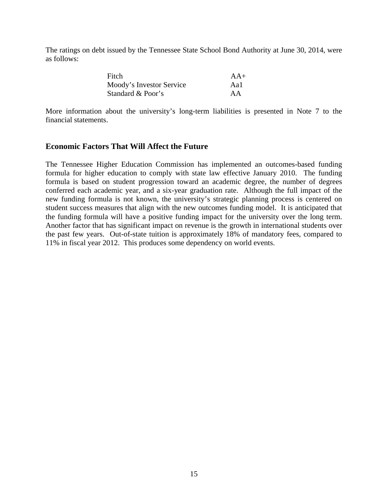The ratings on debt issued by the Tennessee State School Bond Authority at June 30, 2014, were as follows:

| Fitch                    | $AA+$ |
|--------------------------|-------|
| Moody's Investor Service | Aal   |
| Standard & Poor's        | AA    |

More information about the university's long-term liabilities is presented in Note 7 to the financial statements.

#### **Economic Factors That Will Affect the Future**

The Tennessee Higher Education Commission has implemented an outcomes-based funding formula for higher education to comply with state law effective January 2010. The funding formula is based on student progression toward an academic degree, the number of degrees conferred each academic year, and a six-year graduation rate. Although the full impact of the new funding formula is not known, the university's strategic planning process is centered on student success measures that align with the new outcomes funding model. It is anticipated that the funding formula will have a positive funding impact for the university over the long term. Another factor that has significant impact on revenue is the growth in international students over the past few years. Out-of-state tuition is approximately 18% of mandatory fees, compared to 11% in fiscal year 2012. This produces some dependency on world events.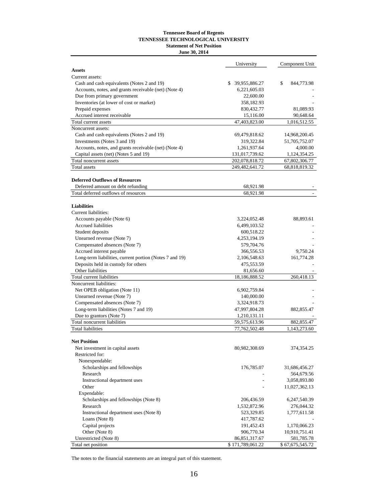#### **TENNESSEE TECHNOLOGICAL UNIVERSITY Tennessee Board of Regents Statement of Net Position June 30, 2014**

|                                                         | University       | Component Unit   |
|---------------------------------------------------------|------------------|------------------|
| <b>Assets</b>                                           |                  |                  |
| Current assets:                                         |                  |                  |
| Cash and cash equivalents (Notes 2 and 19)              | \$ 39,955,886.27 | \$<br>844,773.98 |
| Accounts, notes, and grants receivable (net) (Note 4)   | 6,221,605.03     |                  |
| Due from primary government                             | 22,600.00        |                  |
| Inventories (at lower of cost or market)                | 358,182.93       |                  |
| Prepaid expenses                                        | 830,432.77       | 81,089.93        |
| Accrued interest receivable                             | 15,116.00        | 90,648.64        |
| Total current assets                                    | 47,403,823.00    | 1,016,512.55     |
| Noncurrent assets:                                      |                  |                  |
| Cash and cash equivalents (Notes 2 and 19)              | 69,479,818.62    | 14,968,200.45    |
| Investments (Notes 3 and 19)                            | 319,322.84       | 51,705,752.07    |
| Accounts, notes, and grants receivable (net) (Note 4)   | 1,261,937.64     | 4,000.00         |
| Capital assets (net) (Notes 5 and 19)                   | 131,017,739.62   | 1,124,354.25     |
| Total noncurrent assets                                 | 202,078,818.72   | 67,802,306.77    |
| Total assets                                            | 249,482,641.72   | 68,818,819.32    |
| <b>Deferred Outflows of Resources</b>                   |                  |                  |
| Deferred amount on debt refunding                       | 68,921.98        |                  |
| Total deferred outflows of resources                    | 68,921.98        |                  |
| <b>Liabilities</b>                                      |                  |                  |
| Current liabilities:                                    |                  |                  |
| Accounts payable (Note 6)                               | 3,224,052.48     | 88,893.61        |
| Accrued liabilities                                     | 6,499,103.52     |                  |
| Student deposits                                        | 600,518.22       |                  |
| Unearned revenue (Note 7)                               | 4,253,194.19     |                  |
| Compensated absences (Note 7)                           | 579,704.76       |                  |
| Accrued interest payable                                | 366,556.53       | 9,750.24         |
| Long-term liabilities, current portion (Notes 7 and 19) | 2,106,548.63     | 161,774.28       |
| Deposits held in custody for others                     | 475,553.59       |                  |
| Other liabilities                                       | 81,656.60        |                  |
| Total current liabilities                               | 18,186,888.52    | 260,418.13       |
| Noncurrent liabilities:                                 |                  |                  |
| Net OPEB obligation (Note 11)                           | 6,902,759.84     |                  |
| Unearned revenue (Note 7)                               | 140,000.00       |                  |
| Compensated absences (Note 7)                           | 3,324,918.73     |                  |
| Long-term liabilities (Notes 7 and 19)                  | 47,997,804.28    | 882, 855.47      |
| Due to grantors (Note 7)                                | 1,210,131.11     |                  |
| Total noncurrent liabilities                            | 59,575,613.96    | 882, 855.47      |
| <b>Total liabilities</b>                                | 77,762,502.48    | 1,143,273.60     |
| <b>Net Position</b>                                     |                  |                  |
| Net investment in capital assets                        | 80,982,308.69    | 374,354.25       |
| Restricted for:                                         |                  |                  |
| Nonexpendable:                                          |                  |                  |
| Scholarships and fellowships                            | 176,785.07       | 31,686,456.27    |
| Research                                                |                  | 564,679.56       |
| Instructional department uses                           |                  | 3,058,893.80     |
| Other                                                   |                  | 11,027,362.13    |
| Expendable:                                             |                  |                  |
| Scholarships and fellowships (Note 8)                   | 206,436.59       | 6,247,540.39     |
| Research                                                | 1,532,872.96     | 276,044.32       |
| Instructional department uses (Note 8)                  | 523,329.85       | 1,777,611.58     |
| Loans (Note 8)                                          | 417,787.62       |                  |
| Capital projects                                        | 191,452.43       | 1,170,066.23     |
| Other (Note 8)                                          | 906,770.34       |                  |
|                                                         |                  | 10,910,751.41    |
| Unrestricted (Note 8)                                   | 86, 851, 317. 67 | 581,785.78       |
| Total net position                                      | \$171,789,061.22 | \$67,675,545.72  |

The notes to the financial statements are an integral part of this statement.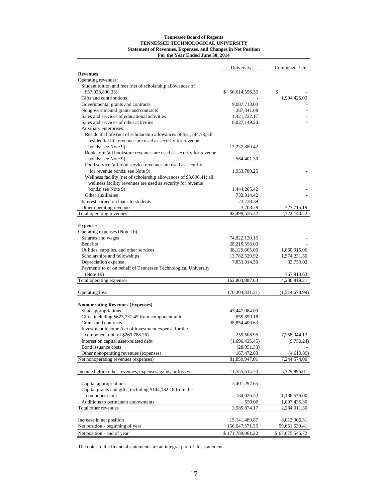#### **Tennessee Board of Regents Statement of Revenues, Expenses, and Changes in Net Position For the Year Ended June 30, 2014 TENNESSEE TECHNOLOGICAL UNIVERSITY**

|                                                                     | University          | Component Unit             |
|---------------------------------------------------------------------|---------------------|----------------------------|
| <b>Revenues</b>                                                     |                     |                            |
| Operating revenues:                                                 |                     |                            |
| Student tuition and fees (net of scholarship allowances of          |                     |                            |
| \$37,938,890.33)                                                    | 56,614,556.35<br>\$ | \$                         |
| Gifts and contributions                                             |                     | 1,994,425.03               |
| Governmental grants and contracts                                   | 9,087,713.03        |                            |
| Nongovernmental grants and contracts                                | 387,341.08          |                            |
| Sales and services of educational activities                        | 1,421,722.17        |                            |
| Sales and services of other activities                              | 8,027,149.20        |                            |
| Auxiliary enterprises:                                              |                     |                            |
| Residential life (net of scholarship allowances of \$31,744.78; all |                     |                            |
| residential life revenues are used as security for revenue          |                     |                            |
| bonds; see Note 9)                                                  | 12,237,889.42       |                            |
| Bookstore (all bookstore revenues are used as security for revenue  |                     |                            |
| bonds; see Note 9)                                                  | 564,401.30          |                            |
| Food service (all food service revenues are used as security        |                     |                            |
| for revenue bonds; see Note 9)                                      | 1,953,780.25        |                            |
| Wellness facility (net of scholarship allowances of \$3,696.41; all |                     |                            |
| wellness facility revenues are used as security for revenue         |                     |                            |
| bonds; see Note 9)                                                  | 1,444,265.42        |                            |
| Other auxiliaries                                                   | 733,314.42          |                            |
| Interest earned on loans to students                                | 23,720.39           |                            |
| Other operating revenues                                            | 3,703.29            | 727,715.19                 |
| Total operating revenues                                            | 92,499,556.32       | 2.722.140.22               |
|                                                                     |                     |                            |
| <b>Expenses</b>                                                     |                     |                            |
| Operating expenses (Note 16):                                       |                     |                            |
| Salaries and wages                                                  | 74,822,120.15       |                            |
| <b>Benefits</b>                                                     | 28,216,558.00       |                            |
| Utilities, supplies, and other services                             | 38,129,665.06       | 1,860,915.06               |
| Scholarships and fellowships                                        | 13,782,529.92       | 1,574,231.50               |
| Depreciation expense                                                | 7,853,014.50        | 33,759.02                  |
| Payments to or on behalf of Tennessee Technological University      |                     |                            |
| (Note 19)<br>Total operating expenses                               | 162,803,887.63      | 767,913.63<br>4,236,819.21 |
|                                                                     |                     |                            |
| Operating loss                                                      | (70, 304, 331.31)   | (1,514,678.99)             |
| <b>Nonoperating Revenues (Expenses)</b>                             |                     |                            |
| State appropriations                                                | 43,447,084.00       |                            |
| Gifts, including \$623,731.45 from component unit                   | 855,859.18          |                            |
| Grants and contracts                                                | 38,854,409.63       |                            |
| Investment income (net of investment expense for the                |                     |                            |
| component unit of \$269,788.26)                                     | 259,608.95          | 7,258,944.13               |
| Interest on capital asset-related debt                              | (1,696,435.45)      | (9,750.24)                 |
| Bond issuance costs                                                 | (28,051.33)         |                            |
| Other nonoperating revenues (expenses)                              | 167,472.03          | (4,619.89)                 |
| Net nonoperating revenues (expenses)                                | 81,859,947.01       | 7,244,574.00               |
|                                                                     |                     |                            |
| Income before other revenues, expenses, gains, or losses            | 11,555,615.70       | 5,729,895.01               |
| Capital appropriations                                              | 3,401,297.65        |                            |
| Capital grants and gifts, including \$144,182.18 from the           |                     |                            |
| component unit                                                      | 184,026.52          | 1,186,576.00               |
| Additions to permanent endowments                                   | 550.00              | 1,097,435.30               |
| Total other revenues                                                | 3,585,874.17        | 2,284,011.30               |
|                                                                     |                     |                            |
| Increase in net position                                            | 15, 141, 489. 87    | 8,013,906.31               |
| Net position - beginning of year                                    | 156,647,571.35      | 59,661,639.41              |
| Net position - end of year                                          | \$171,789,061.22    | \$67,675,545.72            |

The notes to the financial statements are an integral part of this statement.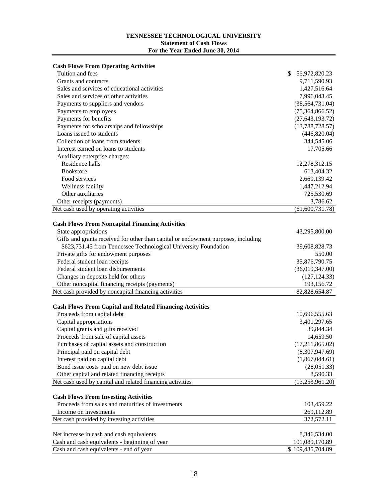#### **TENNESSEE TECHNOLOGICAL UNIVERSITY Statement of Cash Flows For the Year Ended June 30, 2014**

| Tuition and fees<br>\$<br>56,972,820.23<br>Grants and contracts<br>9,711,590.93<br>Sales and services of educational activities<br>1,427,516.64<br>Sales and services of other activities<br>7,996,043.45<br>(38, 564, 731.04)<br>Payments to suppliers and vendors<br>Payments to employees<br>(75,364,866.52)<br>Payments for benefits<br>(27, 643, 193.72)<br>Payments for scholarships and fellowships<br>(13,788,728.57)<br>Loans issued to students<br>(446,820.04)<br>Collection of loans from students<br>344,545.06<br>Interest earned on loans to students<br>17,705.66<br>Auxiliary enterprise charges:<br>Residence halls<br>12,278,312.15<br><b>Bookstore</b><br>613,404.32<br>Food services<br>2,669,139.42<br>Wellness facility<br>1,447,212.94<br>Other auxiliaries<br>725,530.69<br>Other receipts (payments)<br>3,786.62<br>Net cash used by operating activities<br>$\overline{(61,600,731.78)}$<br><b>Cash Flows From Noncapital Financing Activities</b><br>State appropriations<br>43,295,800.00<br>Gifts and grants received for other than capital or endowment purposes, including<br>\$623,731.45 from Tennessee Technological University Foundation<br>39,608,828.73<br>Private gifts for endowment purposes<br>550.00<br>Federal student loan receipts<br>35,876,790.75<br>Federal student loan disbursements<br>(36,019,347.00)<br>Changes in deposits held for others<br>(127, 124.33)<br>193,156.72<br>Other noncapital financing receipts (payments)<br>Net cash provided by noncapital financing activities<br>82,828,654.87<br><b>Cash Flows From Capital and Related Financing Activities</b><br>Proceeds from capital debt<br>10,696,555.63<br>Capital appropriations<br>3,401,297.65<br>Capital grants and gifts received<br>39,844.34<br>Proceeds from sale of capital assets<br>14,659.50<br>(17,211,865.02)<br>Purchases of capital assets and construction<br>Principal paid on capital debt<br>(8,307,947.69)<br>Interest paid on capital debt<br>(1,867,044.61)<br>Bond issue costs paid on new debt issue<br>(28,051.33)<br>Other capital and related financing receipts<br>8,590.33<br>Net cash used by capital and related financing activities<br>(13,253,961.20)<br><b>Cash Flows From Investing Activities</b><br>Proceeds from sales and maturities of investments<br>103,459.22<br>Income on investments<br>269,112.89<br>Net cash provided by investing activities<br>372,572.11<br>8,346,534.00<br>Net increase in cash and cash equivalents<br>Cash and cash equivalents - beginning of year<br>101,089,170.89 | <b>Cash Flows From Operating Activities</b> |                  |
|----------------------------------------------------------------------------------------------------------------------------------------------------------------------------------------------------------------------------------------------------------------------------------------------------------------------------------------------------------------------------------------------------------------------------------------------------------------------------------------------------------------------------------------------------------------------------------------------------------------------------------------------------------------------------------------------------------------------------------------------------------------------------------------------------------------------------------------------------------------------------------------------------------------------------------------------------------------------------------------------------------------------------------------------------------------------------------------------------------------------------------------------------------------------------------------------------------------------------------------------------------------------------------------------------------------------------------------------------------------------------------------------------------------------------------------------------------------------------------------------------------------------------------------------------------------------------------------------------------------------------------------------------------------------------------------------------------------------------------------------------------------------------------------------------------------------------------------------------------------------------------------------------------------------------------------------------------------------------------------------------------------------------------------------------------------------------------------------------------------------------------------------------------------------------------------------------------------------------------------------------------------------------------------------------------------------------------------------------------------------------------------------------------------------------------------------------------------------------------------------------------------------------------------------------------------------|---------------------------------------------|------------------|
|                                                                                                                                                                                                                                                                                                                                                                                                                                                                                                                                                                                                                                                                                                                                                                                                                                                                                                                                                                                                                                                                                                                                                                                                                                                                                                                                                                                                                                                                                                                                                                                                                                                                                                                                                                                                                                                                                                                                                                                                                                                                                                                                                                                                                                                                                                                                                                                                                                                                                                                                                                      |                                             |                  |
|                                                                                                                                                                                                                                                                                                                                                                                                                                                                                                                                                                                                                                                                                                                                                                                                                                                                                                                                                                                                                                                                                                                                                                                                                                                                                                                                                                                                                                                                                                                                                                                                                                                                                                                                                                                                                                                                                                                                                                                                                                                                                                                                                                                                                                                                                                                                                                                                                                                                                                                                                                      |                                             |                  |
|                                                                                                                                                                                                                                                                                                                                                                                                                                                                                                                                                                                                                                                                                                                                                                                                                                                                                                                                                                                                                                                                                                                                                                                                                                                                                                                                                                                                                                                                                                                                                                                                                                                                                                                                                                                                                                                                                                                                                                                                                                                                                                                                                                                                                                                                                                                                                                                                                                                                                                                                                                      |                                             |                  |
|                                                                                                                                                                                                                                                                                                                                                                                                                                                                                                                                                                                                                                                                                                                                                                                                                                                                                                                                                                                                                                                                                                                                                                                                                                                                                                                                                                                                                                                                                                                                                                                                                                                                                                                                                                                                                                                                                                                                                                                                                                                                                                                                                                                                                                                                                                                                                                                                                                                                                                                                                                      |                                             |                  |
|                                                                                                                                                                                                                                                                                                                                                                                                                                                                                                                                                                                                                                                                                                                                                                                                                                                                                                                                                                                                                                                                                                                                                                                                                                                                                                                                                                                                                                                                                                                                                                                                                                                                                                                                                                                                                                                                                                                                                                                                                                                                                                                                                                                                                                                                                                                                                                                                                                                                                                                                                                      |                                             |                  |
|                                                                                                                                                                                                                                                                                                                                                                                                                                                                                                                                                                                                                                                                                                                                                                                                                                                                                                                                                                                                                                                                                                                                                                                                                                                                                                                                                                                                                                                                                                                                                                                                                                                                                                                                                                                                                                                                                                                                                                                                                                                                                                                                                                                                                                                                                                                                                                                                                                                                                                                                                                      |                                             |                  |
|                                                                                                                                                                                                                                                                                                                                                                                                                                                                                                                                                                                                                                                                                                                                                                                                                                                                                                                                                                                                                                                                                                                                                                                                                                                                                                                                                                                                                                                                                                                                                                                                                                                                                                                                                                                                                                                                                                                                                                                                                                                                                                                                                                                                                                                                                                                                                                                                                                                                                                                                                                      |                                             |                  |
|                                                                                                                                                                                                                                                                                                                                                                                                                                                                                                                                                                                                                                                                                                                                                                                                                                                                                                                                                                                                                                                                                                                                                                                                                                                                                                                                                                                                                                                                                                                                                                                                                                                                                                                                                                                                                                                                                                                                                                                                                                                                                                                                                                                                                                                                                                                                                                                                                                                                                                                                                                      |                                             |                  |
|                                                                                                                                                                                                                                                                                                                                                                                                                                                                                                                                                                                                                                                                                                                                                                                                                                                                                                                                                                                                                                                                                                                                                                                                                                                                                                                                                                                                                                                                                                                                                                                                                                                                                                                                                                                                                                                                                                                                                                                                                                                                                                                                                                                                                                                                                                                                                                                                                                                                                                                                                                      |                                             |                  |
|                                                                                                                                                                                                                                                                                                                                                                                                                                                                                                                                                                                                                                                                                                                                                                                                                                                                                                                                                                                                                                                                                                                                                                                                                                                                                                                                                                                                                                                                                                                                                                                                                                                                                                                                                                                                                                                                                                                                                                                                                                                                                                                                                                                                                                                                                                                                                                                                                                                                                                                                                                      |                                             |                  |
|                                                                                                                                                                                                                                                                                                                                                                                                                                                                                                                                                                                                                                                                                                                                                                                                                                                                                                                                                                                                                                                                                                                                                                                                                                                                                                                                                                                                                                                                                                                                                                                                                                                                                                                                                                                                                                                                                                                                                                                                                                                                                                                                                                                                                                                                                                                                                                                                                                                                                                                                                                      |                                             |                  |
|                                                                                                                                                                                                                                                                                                                                                                                                                                                                                                                                                                                                                                                                                                                                                                                                                                                                                                                                                                                                                                                                                                                                                                                                                                                                                                                                                                                                                                                                                                                                                                                                                                                                                                                                                                                                                                                                                                                                                                                                                                                                                                                                                                                                                                                                                                                                                                                                                                                                                                                                                                      |                                             |                  |
|                                                                                                                                                                                                                                                                                                                                                                                                                                                                                                                                                                                                                                                                                                                                                                                                                                                                                                                                                                                                                                                                                                                                                                                                                                                                                                                                                                                                                                                                                                                                                                                                                                                                                                                                                                                                                                                                                                                                                                                                                                                                                                                                                                                                                                                                                                                                                                                                                                                                                                                                                                      |                                             |                  |
|                                                                                                                                                                                                                                                                                                                                                                                                                                                                                                                                                                                                                                                                                                                                                                                                                                                                                                                                                                                                                                                                                                                                                                                                                                                                                                                                                                                                                                                                                                                                                                                                                                                                                                                                                                                                                                                                                                                                                                                                                                                                                                                                                                                                                                                                                                                                                                                                                                                                                                                                                                      |                                             |                  |
|                                                                                                                                                                                                                                                                                                                                                                                                                                                                                                                                                                                                                                                                                                                                                                                                                                                                                                                                                                                                                                                                                                                                                                                                                                                                                                                                                                                                                                                                                                                                                                                                                                                                                                                                                                                                                                                                                                                                                                                                                                                                                                                                                                                                                                                                                                                                                                                                                                                                                                                                                                      |                                             |                  |
|                                                                                                                                                                                                                                                                                                                                                                                                                                                                                                                                                                                                                                                                                                                                                                                                                                                                                                                                                                                                                                                                                                                                                                                                                                                                                                                                                                                                                                                                                                                                                                                                                                                                                                                                                                                                                                                                                                                                                                                                                                                                                                                                                                                                                                                                                                                                                                                                                                                                                                                                                                      |                                             |                  |
|                                                                                                                                                                                                                                                                                                                                                                                                                                                                                                                                                                                                                                                                                                                                                                                                                                                                                                                                                                                                                                                                                                                                                                                                                                                                                                                                                                                                                                                                                                                                                                                                                                                                                                                                                                                                                                                                                                                                                                                                                                                                                                                                                                                                                                                                                                                                                                                                                                                                                                                                                                      |                                             |                  |
|                                                                                                                                                                                                                                                                                                                                                                                                                                                                                                                                                                                                                                                                                                                                                                                                                                                                                                                                                                                                                                                                                                                                                                                                                                                                                                                                                                                                                                                                                                                                                                                                                                                                                                                                                                                                                                                                                                                                                                                                                                                                                                                                                                                                                                                                                                                                                                                                                                                                                                                                                                      |                                             |                  |
|                                                                                                                                                                                                                                                                                                                                                                                                                                                                                                                                                                                                                                                                                                                                                                                                                                                                                                                                                                                                                                                                                                                                                                                                                                                                                                                                                                                                                                                                                                                                                                                                                                                                                                                                                                                                                                                                                                                                                                                                                                                                                                                                                                                                                                                                                                                                                                                                                                                                                                                                                                      |                                             |                  |
|                                                                                                                                                                                                                                                                                                                                                                                                                                                                                                                                                                                                                                                                                                                                                                                                                                                                                                                                                                                                                                                                                                                                                                                                                                                                                                                                                                                                                                                                                                                                                                                                                                                                                                                                                                                                                                                                                                                                                                                                                                                                                                                                                                                                                                                                                                                                                                                                                                                                                                                                                                      |                                             |                  |
|                                                                                                                                                                                                                                                                                                                                                                                                                                                                                                                                                                                                                                                                                                                                                                                                                                                                                                                                                                                                                                                                                                                                                                                                                                                                                                                                                                                                                                                                                                                                                                                                                                                                                                                                                                                                                                                                                                                                                                                                                                                                                                                                                                                                                                                                                                                                                                                                                                                                                                                                                                      |                                             |                  |
|                                                                                                                                                                                                                                                                                                                                                                                                                                                                                                                                                                                                                                                                                                                                                                                                                                                                                                                                                                                                                                                                                                                                                                                                                                                                                                                                                                                                                                                                                                                                                                                                                                                                                                                                                                                                                                                                                                                                                                                                                                                                                                                                                                                                                                                                                                                                                                                                                                                                                                                                                                      |                                             |                  |
|                                                                                                                                                                                                                                                                                                                                                                                                                                                                                                                                                                                                                                                                                                                                                                                                                                                                                                                                                                                                                                                                                                                                                                                                                                                                                                                                                                                                                                                                                                                                                                                                                                                                                                                                                                                                                                                                                                                                                                                                                                                                                                                                                                                                                                                                                                                                                                                                                                                                                                                                                                      |                                             |                  |
|                                                                                                                                                                                                                                                                                                                                                                                                                                                                                                                                                                                                                                                                                                                                                                                                                                                                                                                                                                                                                                                                                                                                                                                                                                                                                                                                                                                                                                                                                                                                                                                                                                                                                                                                                                                                                                                                                                                                                                                                                                                                                                                                                                                                                                                                                                                                                                                                                                                                                                                                                                      |                                             |                  |
|                                                                                                                                                                                                                                                                                                                                                                                                                                                                                                                                                                                                                                                                                                                                                                                                                                                                                                                                                                                                                                                                                                                                                                                                                                                                                                                                                                                                                                                                                                                                                                                                                                                                                                                                                                                                                                                                                                                                                                                                                                                                                                                                                                                                                                                                                                                                                                                                                                                                                                                                                                      |                                             |                  |
|                                                                                                                                                                                                                                                                                                                                                                                                                                                                                                                                                                                                                                                                                                                                                                                                                                                                                                                                                                                                                                                                                                                                                                                                                                                                                                                                                                                                                                                                                                                                                                                                                                                                                                                                                                                                                                                                                                                                                                                                                                                                                                                                                                                                                                                                                                                                                                                                                                                                                                                                                                      |                                             |                  |
|                                                                                                                                                                                                                                                                                                                                                                                                                                                                                                                                                                                                                                                                                                                                                                                                                                                                                                                                                                                                                                                                                                                                                                                                                                                                                                                                                                                                                                                                                                                                                                                                                                                                                                                                                                                                                                                                                                                                                                                                                                                                                                                                                                                                                                                                                                                                                                                                                                                                                                                                                                      |                                             |                  |
|                                                                                                                                                                                                                                                                                                                                                                                                                                                                                                                                                                                                                                                                                                                                                                                                                                                                                                                                                                                                                                                                                                                                                                                                                                                                                                                                                                                                                                                                                                                                                                                                                                                                                                                                                                                                                                                                                                                                                                                                                                                                                                                                                                                                                                                                                                                                                                                                                                                                                                                                                                      |                                             |                  |
|                                                                                                                                                                                                                                                                                                                                                                                                                                                                                                                                                                                                                                                                                                                                                                                                                                                                                                                                                                                                                                                                                                                                                                                                                                                                                                                                                                                                                                                                                                                                                                                                                                                                                                                                                                                                                                                                                                                                                                                                                                                                                                                                                                                                                                                                                                                                                                                                                                                                                                                                                                      |                                             |                  |
|                                                                                                                                                                                                                                                                                                                                                                                                                                                                                                                                                                                                                                                                                                                                                                                                                                                                                                                                                                                                                                                                                                                                                                                                                                                                                                                                                                                                                                                                                                                                                                                                                                                                                                                                                                                                                                                                                                                                                                                                                                                                                                                                                                                                                                                                                                                                                                                                                                                                                                                                                                      |                                             |                  |
|                                                                                                                                                                                                                                                                                                                                                                                                                                                                                                                                                                                                                                                                                                                                                                                                                                                                                                                                                                                                                                                                                                                                                                                                                                                                                                                                                                                                                                                                                                                                                                                                                                                                                                                                                                                                                                                                                                                                                                                                                                                                                                                                                                                                                                                                                                                                                                                                                                                                                                                                                                      |                                             |                  |
|                                                                                                                                                                                                                                                                                                                                                                                                                                                                                                                                                                                                                                                                                                                                                                                                                                                                                                                                                                                                                                                                                                                                                                                                                                                                                                                                                                                                                                                                                                                                                                                                                                                                                                                                                                                                                                                                                                                                                                                                                                                                                                                                                                                                                                                                                                                                                                                                                                                                                                                                                                      |                                             |                  |
|                                                                                                                                                                                                                                                                                                                                                                                                                                                                                                                                                                                                                                                                                                                                                                                                                                                                                                                                                                                                                                                                                                                                                                                                                                                                                                                                                                                                                                                                                                                                                                                                                                                                                                                                                                                                                                                                                                                                                                                                                                                                                                                                                                                                                                                                                                                                                                                                                                                                                                                                                                      |                                             |                  |
|                                                                                                                                                                                                                                                                                                                                                                                                                                                                                                                                                                                                                                                                                                                                                                                                                                                                                                                                                                                                                                                                                                                                                                                                                                                                                                                                                                                                                                                                                                                                                                                                                                                                                                                                                                                                                                                                                                                                                                                                                                                                                                                                                                                                                                                                                                                                                                                                                                                                                                                                                                      |                                             |                  |
|                                                                                                                                                                                                                                                                                                                                                                                                                                                                                                                                                                                                                                                                                                                                                                                                                                                                                                                                                                                                                                                                                                                                                                                                                                                                                                                                                                                                                                                                                                                                                                                                                                                                                                                                                                                                                                                                                                                                                                                                                                                                                                                                                                                                                                                                                                                                                                                                                                                                                                                                                                      |                                             |                  |
|                                                                                                                                                                                                                                                                                                                                                                                                                                                                                                                                                                                                                                                                                                                                                                                                                                                                                                                                                                                                                                                                                                                                                                                                                                                                                                                                                                                                                                                                                                                                                                                                                                                                                                                                                                                                                                                                                                                                                                                                                                                                                                                                                                                                                                                                                                                                                                                                                                                                                                                                                                      |                                             |                  |
|                                                                                                                                                                                                                                                                                                                                                                                                                                                                                                                                                                                                                                                                                                                                                                                                                                                                                                                                                                                                                                                                                                                                                                                                                                                                                                                                                                                                                                                                                                                                                                                                                                                                                                                                                                                                                                                                                                                                                                                                                                                                                                                                                                                                                                                                                                                                                                                                                                                                                                                                                                      |                                             |                  |
|                                                                                                                                                                                                                                                                                                                                                                                                                                                                                                                                                                                                                                                                                                                                                                                                                                                                                                                                                                                                                                                                                                                                                                                                                                                                                                                                                                                                                                                                                                                                                                                                                                                                                                                                                                                                                                                                                                                                                                                                                                                                                                                                                                                                                                                                                                                                                                                                                                                                                                                                                                      |                                             |                  |
|                                                                                                                                                                                                                                                                                                                                                                                                                                                                                                                                                                                                                                                                                                                                                                                                                                                                                                                                                                                                                                                                                                                                                                                                                                                                                                                                                                                                                                                                                                                                                                                                                                                                                                                                                                                                                                                                                                                                                                                                                                                                                                                                                                                                                                                                                                                                                                                                                                                                                                                                                                      |                                             |                  |
|                                                                                                                                                                                                                                                                                                                                                                                                                                                                                                                                                                                                                                                                                                                                                                                                                                                                                                                                                                                                                                                                                                                                                                                                                                                                                                                                                                                                                                                                                                                                                                                                                                                                                                                                                                                                                                                                                                                                                                                                                                                                                                                                                                                                                                                                                                                                                                                                                                                                                                                                                                      |                                             |                  |
|                                                                                                                                                                                                                                                                                                                                                                                                                                                                                                                                                                                                                                                                                                                                                                                                                                                                                                                                                                                                                                                                                                                                                                                                                                                                                                                                                                                                                                                                                                                                                                                                                                                                                                                                                                                                                                                                                                                                                                                                                                                                                                                                                                                                                                                                                                                                                                                                                                                                                                                                                                      |                                             |                  |
|                                                                                                                                                                                                                                                                                                                                                                                                                                                                                                                                                                                                                                                                                                                                                                                                                                                                                                                                                                                                                                                                                                                                                                                                                                                                                                                                                                                                                                                                                                                                                                                                                                                                                                                                                                                                                                                                                                                                                                                                                                                                                                                                                                                                                                                                                                                                                                                                                                                                                                                                                                      |                                             |                  |
|                                                                                                                                                                                                                                                                                                                                                                                                                                                                                                                                                                                                                                                                                                                                                                                                                                                                                                                                                                                                                                                                                                                                                                                                                                                                                                                                                                                                                                                                                                                                                                                                                                                                                                                                                                                                                                                                                                                                                                                                                                                                                                                                                                                                                                                                                                                                                                                                                                                                                                                                                                      |                                             |                  |
|                                                                                                                                                                                                                                                                                                                                                                                                                                                                                                                                                                                                                                                                                                                                                                                                                                                                                                                                                                                                                                                                                                                                                                                                                                                                                                                                                                                                                                                                                                                                                                                                                                                                                                                                                                                                                                                                                                                                                                                                                                                                                                                                                                                                                                                                                                                                                                                                                                                                                                                                                                      |                                             |                  |
|                                                                                                                                                                                                                                                                                                                                                                                                                                                                                                                                                                                                                                                                                                                                                                                                                                                                                                                                                                                                                                                                                                                                                                                                                                                                                                                                                                                                                                                                                                                                                                                                                                                                                                                                                                                                                                                                                                                                                                                                                                                                                                                                                                                                                                                                                                                                                                                                                                                                                                                                                                      |                                             |                  |
|                                                                                                                                                                                                                                                                                                                                                                                                                                                                                                                                                                                                                                                                                                                                                                                                                                                                                                                                                                                                                                                                                                                                                                                                                                                                                                                                                                                                                                                                                                                                                                                                                                                                                                                                                                                                                                                                                                                                                                                                                                                                                                                                                                                                                                                                                                                                                                                                                                                                                                                                                                      |                                             |                  |
|                                                                                                                                                                                                                                                                                                                                                                                                                                                                                                                                                                                                                                                                                                                                                                                                                                                                                                                                                                                                                                                                                                                                                                                                                                                                                                                                                                                                                                                                                                                                                                                                                                                                                                                                                                                                                                                                                                                                                                                                                                                                                                                                                                                                                                                                                                                                                                                                                                                                                                                                                                      |                                             |                  |
|                                                                                                                                                                                                                                                                                                                                                                                                                                                                                                                                                                                                                                                                                                                                                                                                                                                                                                                                                                                                                                                                                                                                                                                                                                                                                                                                                                                                                                                                                                                                                                                                                                                                                                                                                                                                                                                                                                                                                                                                                                                                                                                                                                                                                                                                                                                                                                                                                                                                                                                                                                      |                                             |                  |
|                                                                                                                                                                                                                                                                                                                                                                                                                                                                                                                                                                                                                                                                                                                                                                                                                                                                                                                                                                                                                                                                                                                                                                                                                                                                                                                                                                                                                                                                                                                                                                                                                                                                                                                                                                                                                                                                                                                                                                                                                                                                                                                                                                                                                                                                                                                                                                                                                                                                                                                                                                      |                                             |                  |
|                                                                                                                                                                                                                                                                                                                                                                                                                                                                                                                                                                                                                                                                                                                                                                                                                                                                                                                                                                                                                                                                                                                                                                                                                                                                                                                                                                                                                                                                                                                                                                                                                                                                                                                                                                                                                                                                                                                                                                                                                                                                                                                                                                                                                                                                                                                                                                                                                                                                                                                                                                      | Cash and cash equivalents - end of year     | \$109,435,704.89 |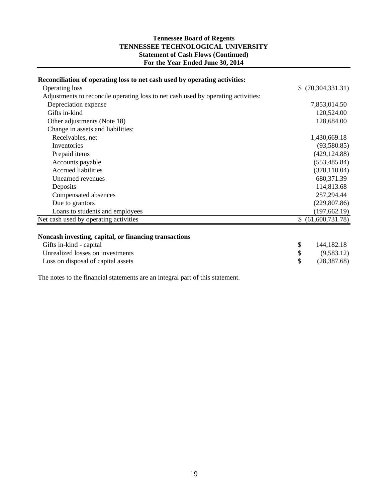#### **Statement of Cash Flows (Continued) For the Year Ended June 30, 2014 Tennessee Board of Regents TENNESSEE TECHNOLOGICAL UNIVERSITY**

| Reconciliation of operating loss to net cash used by operating activities:        |                    |
|-----------------------------------------------------------------------------------|--------------------|
| Operating loss                                                                    | \$ (70,304,331.31) |
| Adjustments to reconcile operating loss to net cash used by operating activities: |                    |
| Depreciation expense                                                              | 7,853,014.50       |
| Gifts in-kind                                                                     | 120,524.00         |
| Other adjustments (Note 18)                                                       | 128,684.00         |
| Change in assets and liabilities:                                                 |                    |
| Receivables, net                                                                  | 1,430,669.18       |
| Inventories                                                                       | (93,580.85)        |
| Prepaid items                                                                     | (429, 124.88)      |
| Accounts payable                                                                  | (553, 485.84)      |
| <b>Accrued liabilities</b>                                                        | (378, 110.04)      |
| Unearned revenues                                                                 | 680, 371.39        |
| Deposits                                                                          | 114,813.68         |
| Compensated absences                                                              | 257,294.44         |
| Due to grantors                                                                   | (229, 807.86)      |
| Loans to students and employees                                                   | (197, 662.19)      |
| Net cash used by operating activities                                             | \$ (61,600,731.78) |
| Noncash investing, capital, or financing transactions                             |                    |
| Gifts in-kind - capital                                                           | \$<br>144, 182. 18 |
| Unrealized losses on investments                                                  | \$<br>(9,583.12)   |
| Loss on disposal of capital assets                                                | \$<br>(28, 387.68) |

The notes to the financial statements are an integral part of this statement.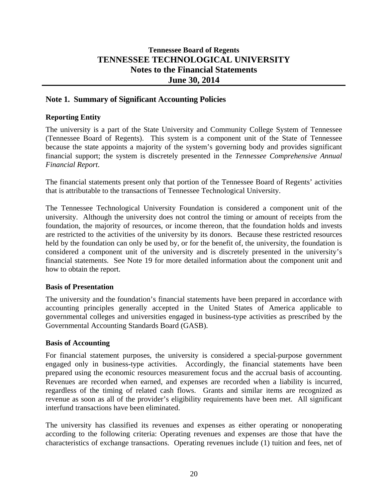## **Tennessee Board of Regents TENNESSEE TECHNOLOGICAL UNIVERSITY Notes to the Financial Statements June 30, 2014**

## **Note 1. Summary of Significant Accounting Policies**

#### **Reporting Entity**

The university is a part of the State University and Community College System of Tennessee (Tennessee Board of Regents). This system is a component unit of the State of Tennessee because the state appoints a majority of the system's governing body and provides significant financial support; the system is discretely presented in the *Tennessee Comprehensive Annual Financial Report*.

The financial statements present only that portion of the Tennessee Board of Regents' activities that is attributable to the transactions of Tennessee Technological University.

The Tennessee Technological University Foundation is considered a component unit of the university. Although the university does not control the timing or amount of receipts from the foundation, the majority of resources, or income thereon, that the foundation holds and invests are restricted to the activities of the university by its donors. Because these restricted resources held by the foundation can only be used by, or for the benefit of, the university, the foundation is considered a component unit of the university and is discretely presented in the university's financial statements. See Note 19 for more detailed information about the component unit and how to obtain the report.

#### **Basis of Presentation**

The university and the foundation's financial statements have been prepared in accordance with accounting principles generally accepted in the United States of America applicable to governmental colleges and universities engaged in business-type activities as prescribed by the Governmental Accounting Standards Board (GASB).

#### **Basis of Accounting**

For financial statement purposes, the university is considered a special-purpose government engaged only in business-type activities. Accordingly, the financial statements have been prepared using the economic resources measurement focus and the accrual basis of accounting. Revenues are recorded when earned, and expenses are recorded when a liability is incurred, regardless of the timing of related cash flows. Grants and similar items are recognized as revenue as soon as all of the provider's eligibility requirements have been met. All significant interfund transactions have been eliminated.

The university has classified its revenues and expenses as either operating or nonoperating according to the following criteria: Operating revenues and expenses are those that have the characteristics of exchange transactions. Operating revenues include (1) tuition and fees, net of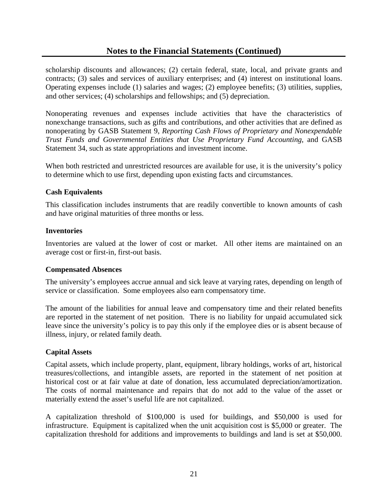scholarship discounts and allowances; (2) certain federal, state, local, and private grants and contracts; (3) sales and services of auxiliary enterprises; and (4) interest on institutional loans. Operating expenses include (1) salaries and wages; (2) employee benefits; (3) utilities, supplies, and other services; (4) scholarships and fellowships; and (5) depreciation.

Nonoperating revenues and expenses include activities that have the characteristics of nonexchange transactions, such as gifts and contributions, and other activities that are defined as nonoperating by GASB Statement 9, *Reporting Cash Flows of Proprietary and Nonexpendable Trust Funds and Governmental Entities that Use Proprietary Fund Accounting*, and GASB Statement 34, such as state appropriations and investment income.

When both restricted and unrestricted resources are available for use, it is the university's policy to determine which to use first, depending upon existing facts and circumstances.

## **Cash Equivalents**

This classification includes instruments that are readily convertible to known amounts of cash and have original maturities of three months or less.

#### **Inventories**

Inventories are valued at the lower of cost or market. All other items are maintained on an average cost or first-in, first-out basis.

#### **Compensated Absences**

The university's employees accrue annual and sick leave at varying rates, depending on length of service or classification. Some employees also earn compensatory time.

The amount of the liabilities for annual leave and compensatory time and their related benefits are reported in the statement of net position. There is no liability for unpaid accumulated sick leave since the university's policy is to pay this only if the employee dies or is absent because of illness, injury, or related family death.

## **Capital Assets**

Capital assets, which include property, plant, equipment, library holdings, works of art, historical treasures/collections, and intangible assets, are reported in the statement of net position at historical cost or at fair value at date of donation, less accumulated depreciation/amortization. The costs of normal maintenance and repairs that do not add to the value of the asset or materially extend the asset's useful life are not capitalized.

A capitalization threshold of \$100,000 is used for buildings, and \$50,000 is used for infrastructure. Equipment is capitalized when the unit acquisition cost is \$5,000 or greater. The capitalization threshold for additions and improvements to buildings and land is set at \$50,000.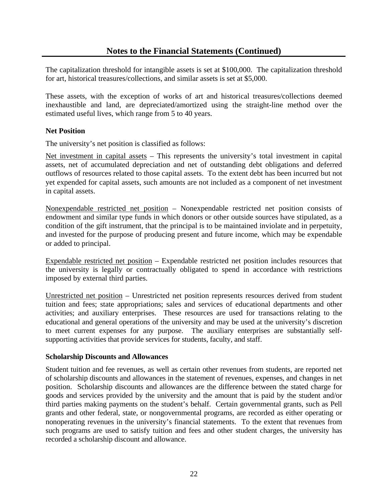The capitalization threshold for intangible assets is set at \$100,000. The capitalization threshold for art, historical treasures/collections, and similar assets is set at \$5,000.

These assets, with the exception of works of art and historical treasures/collections deemed inexhaustible and land, are depreciated/amortized using the straight-line method over the estimated useful lives, which range from 5 to 40 years.

## **Net Position**

The university's net position is classified as follows:

Net investment in capital assets – This represents the university's total investment in capital assets, net of accumulated depreciation and net of outstanding debt obligations and deferred outflows of resources related to those capital assets. To the extent debt has been incurred but not yet expended for capital assets, such amounts are not included as a component of net investment in capital assets.

Nonexpendable restricted net position – Nonexpendable restricted net position consists of endowment and similar type funds in which donors or other outside sources have stipulated, as a condition of the gift instrument, that the principal is to be maintained inviolate and in perpetuity, and invested for the purpose of producing present and future income, which may be expendable or added to principal.

Expendable restricted net position – Expendable restricted net position includes resources that the university is legally or contractually obligated to spend in accordance with restrictions imposed by external third parties.

Unrestricted net position – Unrestricted net position represents resources derived from student tuition and fees; state appropriations; sales and services of educational departments and other activities; and auxiliary enterprises. These resources are used for transactions relating to the educational and general operations of the university and may be used at the university's discretion to meet current expenses for any purpose. The auxiliary enterprises are substantially selfsupporting activities that provide services for students, faculty, and staff.

#### **Scholarship Discounts and Allowances**

Student tuition and fee revenues, as well as certain other revenues from students, are reported net of scholarship discounts and allowances in the statement of revenues, expenses, and changes in net position. Scholarship discounts and allowances are the difference between the stated charge for goods and services provided by the university and the amount that is paid by the student and/or third parties making payments on the student's behalf. Certain governmental grants, such as Pell grants and other federal, state, or nongovernmental programs, are recorded as either operating or nonoperating revenues in the university's financial statements. To the extent that revenues from such programs are used to satisfy tuition and fees and other student charges, the university has recorded a scholarship discount and allowance.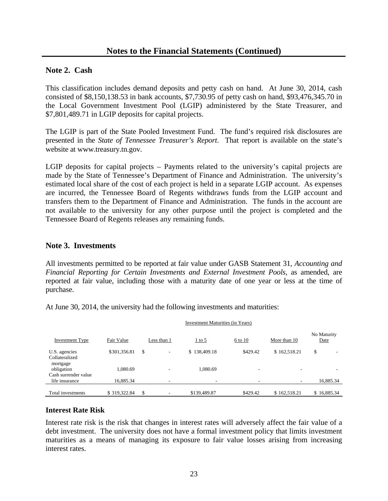#### **Note 2. Cash**

This classification includes demand deposits and petty cash on hand. At June 30, 2014, cash consisted of \$8,150,138.53 in bank accounts, \$7,730.95 of petty cash on hand, \$93,476,345.70 in the Local Government Investment Pool (LGIP) administered by the State Treasurer, and \$7,801,489.71 in LGIP deposits for capital projects.

The LGIP is part of the State Pooled Investment Fund. The fund's required risk disclosures are presented in the *State of Tennessee Treasurer's Report*. That report is available on the state's website at www.treasury.tn.gov.

LGIP deposits for capital projects – Payments related to the university's capital projects are made by the State of Tennessee's Department of Finance and Administration. The university's estimated local share of the cost of each project is held in a separate LGIP account. As expenses are incurred, the Tennessee Board of Regents withdraws funds from the LGIP account and transfers them to the Department of Finance and Administration. The funds in the account are not available to the university for any other purpose until the project is completed and the Tennessee Board of Regents releases any remaining funds.

#### **Note 3. Investments**

All investments permitted to be reported at fair value under GASB Statement 31, *Accounting and Financial Reporting for Certain Investments and External Investment Pools*, as amended, are reported at fair value, including those with a maturity date of one year or less at the time of purchase.

At June 30, 2014, the university had the following investments and maturities:

| <b>Investment Type</b>             | Fair Value   | Less than 1                    | $1$ to 5     | 6 to 10                  | More than 10             | No Maturity<br>Date |
|------------------------------------|--------------|--------------------------------|--------------|--------------------------|--------------------------|---------------------|
| U.S. agencies                      | \$301,356.81 | \$<br>$\overline{\phantom{a}}$ | \$138,409.18 | \$429.42                 | \$162,518.21             | \$<br>-             |
| Collateralized                     |              |                                |              |                          |                          |                     |
| mortgage                           |              |                                |              |                          |                          |                     |
| obligation<br>Cash surrender value | 1.080.69     | ۰                              | 1.080.69     | -                        | $\overline{\phantom{a}}$ |                     |
|                                    |              |                                |              |                          |                          |                     |
| life insurance                     | 16,885.34    | ۰                              | ۰            | $\overline{\phantom{0}}$ | ٠.                       | 16,885.34           |
|                                    |              |                                |              |                          |                          |                     |
| Total investments                  | \$319,322.84 | \$                             | \$139,489.87 | \$429.42                 | \$162,518.21             | \$16,885.34         |

Investment Maturities (in Years)

#### **Interest Rate Risk**

Interest rate risk is the risk that changes in interest rates will adversely affect the fair value of a debt investment. The university does not have a formal investment policy that limits investment maturities as a means of managing its exposure to fair value losses arising from increasing interest rates.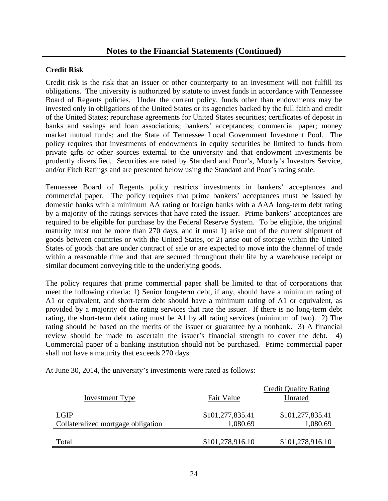#### **Credit Risk**

Credit risk is the risk that an issuer or other counterparty to an investment will not fulfill its obligations. The university is authorized by statute to invest funds in accordance with Tennessee Board of Regents policies. Under the current policy, funds other than endowments may be invested only in obligations of the United States or its agencies backed by the full faith and credit of the United States; repurchase agreements for United States securities; certificates of deposit in banks and savings and loan associations; bankers' acceptances; commercial paper; money market mutual funds; and the State of Tennessee Local Government Investment Pool. The policy requires that investments of endowments in equity securities be limited to funds from private gifts or other sources external to the university and that endowment investments be prudently diversified*.* Securities are rated by Standard and Poor's, Moody's Investors Service, and/or Fitch Ratings and are presented below using the Standard and Poor's rating scale.

Tennessee Board of Regents policy restricts investments in bankers' acceptances and commercial paper. The policy requires that prime bankers' acceptances must be issued by domestic banks with a minimum AA rating or foreign banks with a AAA long-term debt rating by a majority of the ratings services that have rated the issuer. Prime bankers' acceptances are required to be eligible for purchase by the Federal Reserve System. To be eligible, the original maturity must not be more than 270 days, and it must 1) arise out of the current shipment of goods between countries or with the United States, or 2) arise out of storage within the United States of goods that are under contract of sale or are expected to move into the channel of trade within a reasonable time and that are secured throughout their life by a warehouse receipt or similar document conveying title to the underlying goods.

The policy requires that prime commercial paper shall be limited to that of corporations that meet the following criteria: 1) Senior long-term debt, if any, should have a minimum rating of A1 or equivalent, and short-term debt should have a minimum rating of A1 or equivalent, as provided by a majority of the rating services that rate the issuer. If there is no long-term debt rating, the short-term debt rating must be A1 by all rating services (minimum of two). 2) The rating should be based on the merits of the issuer or guarantee by a nonbank. 3) A financial review should be made to ascertain the issuer's financial strength to cover the debt. 4) Commercial paper of a banking institution should not be purchased. Prime commercial paper shall not have a maturity that exceeds 270 days.

At June 30, 2014, the university's investments were rated as follows:

| <b>Investment Type</b>                     | Fair Value                   | <b>Credit Quality Rating</b><br>Unrated |
|--------------------------------------------|------------------------------|-----------------------------------------|
| LGIP<br>Collateralized mortgage obligation | \$101,277,835.41<br>1,080.69 | \$101,277,835.41<br>1,080.69            |
| Total                                      | \$101,278,916.10             | \$101,278,916.10                        |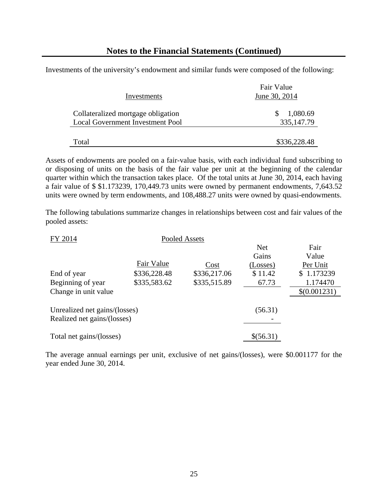Investments of the university's endowment and similar funds were composed of the following:

| Investments                                                                   | Fair Value<br>June 30, 2014 |  |  |
|-------------------------------------------------------------------------------|-----------------------------|--|--|
| Collateralized mortgage obligation<br><b>Local Government Investment Pool</b> | 1,080.69<br>335, 147. 79    |  |  |
| Total                                                                         | \$336,228.48                |  |  |

Assets of endowments are pooled on a fair-value basis, with each individual fund subscribing to or disposing of units on the basis of the fair value per unit at the beginning of the calendar quarter within which the transaction takes place. Of the total units at June 30, 2014, each having a fair value of \$ \$1.173239, 170,449.73 units were owned by permanent endowments, 7,643.52 units were owned by term endowments, and 108,488.27 units were owned by quasi-endowments.

The following tabulations summarize changes in relationships between cost and fair values of the pooled assets:

| FY 2014                       |              | Pooled Assets |            |              |
|-------------------------------|--------------|---------------|------------|--------------|
|                               |              |               | <b>Net</b> | Fair         |
|                               |              |               | Gains      | Value        |
|                               | Fair Value   | Cost          | (Losses)   | Per Unit     |
| End of year                   | \$336,228.48 | \$336,217.06  | \$11.42    | \$1.173239   |
| Beginning of year             | \$335,583.62 | \$335,515.89  | 67.73      | 1.174470     |
| Change in unit value          |              |               |            | \$(0.001231) |
|                               |              |               |            |              |
| Unrealized net gains/(losses) |              |               | (56.31)    |              |
| Realized net gains/(losses)   |              |               |            |              |
|                               |              |               |            |              |
| Total net gains/(losses)      |              |               | \$(56.31)  |              |
|                               |              |               |            |              |

The average annual earnings per unit, exclusive of net gains/(losses), were \$0.001177 for the year ended June 30, 2014.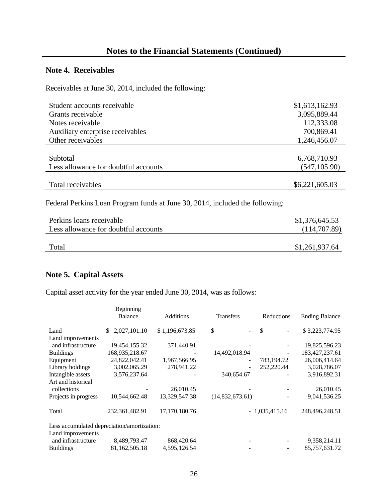## **Note 4. Receivables**

Receivables at June 30, 2014, included the following:

| Student accounts receivable                                                  | \$1,613,162.93 |
|------------------------------------------------------------------------------|----------------|
| Grants receivable                                                            | 3,095,889.44   |
| Notes receivable                                                             | 112,333.08     |
| Auxiliary enterprise receivables                                             | 700,869.41     |
| Other receivables                                                            | 1,246,456.07   |
|                                                                              |                |
| Subtotal                                                                     | 6,768,710.93   |
| Less allowance for doubtful accounts                                         | (547, 105.90)  |
|                                                                              |                |
| Total receivables                                                            | \$6,221,605.03 |
| Federal Perkins Loan Program funds at June 30, 2014, included the following: |                |
| Perkins loans receivable                                                     | \$1,376,645.53 |
| Less allowance for doubtful accounts                                         | (114,707.89)   |
| Total                                                                        | \$1,261,937.64 |

## **Note 5. Capital Assets**

Capital asset activity for the year ended June 30, 2014, was as follows:

|                                             | Beginning<br><b>Balance</b> | <b>Additions</b> | Transfers            | Reductions                                | <b>Ending Balance</b> |
|---------------------------------------------|-----------------------------|------------------|----------------------|-------------------------------------------|-----------------------|
| Land                                        | 2,027,101.10<br>\$.         | \$1,196,673.85   | \$<br>$\blacksquare$ | $\mathcal{S}$<br>$\overline{\phantom{a}}$ | \$3,223,774.95        |
| Land improvements                           |                             |                  |                      |                                           |                       |
| and infrastructure                          | 19,454,155.32               | 371,440.91       |                      |                                           | 19,825,596.23         |
| <b>Buildings</b>                            | 168,935,218.67              |                  | 14,492,018.94        |                                           | 183,427,237.61        |
| Equipment                                   | 24,822,042.41               | 1,967,566.95     |                      | 783,194.72                                | 26,006,414.64         |
| Library holdings                            | 3,002,065.29                | 278,941.22       |                      | 252,220.44                                | 3,028,786.07          |
| Intangible assets                           | 3,576,237.64                |                  | 340,654.67           |                                           | 3,916,892.31          |
| Art and historical                          |                             |                  |                      |                                           |                       |
| collections                                 |                             | 26,010.45        |                      |                                           | 26,010.45             |
| Projects in progress                        | 10,544,662.48               | 13,329,547.38    | (14,832,673.61)      |                                           | 9,041,536.25          |
|                                             |                             |                  |                      |                                           |                       |
| Total                                       | 232, 361, 482. 91           | 17,170,180.76    |                      | $-1,035,415.16$                           | 248,496,248.51        |
|                                             |                             |                  |                      |                                           |                       |
| Less accumulated depreciation/amortization: |                             |                  |                      |                                           |                       |
| Land improvements                           |                             |                  |                      |                                           |                       |

| and infrastructure | 8.489.793.47  | 868,420.64   |  | 9.358.214.11  |
|--------------------|---------------|--------------|--|---------------|
| <b>Buildings</b>   | 81,162,505.18 | 4.595.126.54 |  | 85,757,631.72 |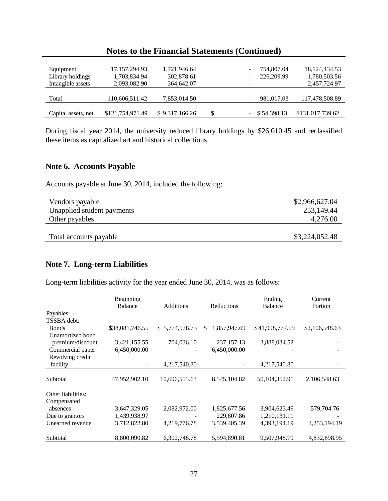| Equipment           | 17, 157, 294. 93 | 1,721,946.64   |    | 754,807.04      | 18, 124, 434. 53 |
|---------------------|------------------|----------------|----|-----------------|------------------|
| Library holdings    | 1,703,834.94     | 302,878.61     |    | 226,209.99      | 1,780,503.56     |
| Intangible assets   | 2,093,082.90     | 364,642.07     |    | ٠               | 2,457,724.97     |
|                     |                  |                |    |                 |                  |
| Total               | 110,606,511.42   | 7,853,014.50   |    | 981,017.03      | 117,478,508.89   |
|                     |                  |                |    |                 |                  |
| Capital assets, net | \$121,754,971.49 | \$9,317,166.26 | \$ | $-$ \$54,398.13 | \$131,017,739.62 |

During fiscal year 2014, the university reduced library holdings by \$26,010.45 and reclassified these items as capitalized art and historical collections.

#### **Note 6. Accounts Payable**

Accounts payable at June 30, 2014, included the following:

| Vendors payable<br>Unapplied student payments | \$2,966,627.04<br>253,149.44 |
|-----------------------------------------------|------------------------------|
| Other payables                                | 4,276.00                     |
| Total accounts payable                        | \$3,224,052.48               |

# **Note 7. Long-term Liabilities**

Long-term liabilities activity for the year ended June 30, 2014, was as follows:

|                    | Beginning       |                  |                     | Ending          | Current        |
|--------------------|-----------------|------------------|---------------------|-----------------|----------------|
|                    | <b>Balance</b>  | <b>Additions</b> | Reductions          | <b>Balance</b>  | Portion        |
| Payables:          |                 |                  |                     |                 |                |
| TSSBA debt:        |                 |                  |                     |                 |                |
| <b>Bonds</b>       | \$38,081,746.55 | \$5,774,978.73   | 1,857,947.69<br>\$. | \$41,998,777.59 | \$2,106,548.63 |
| Unamortized bond   |                 |                  |                     |                 |                |
| premium/discount   | 3,421,155.55    | 704,036.10       | 237, 157. 13        | 3,888,034.52    |                |
| Commercial paper   | 6,450,000.00    |                  | 6,450,000.00        |                 |                |
| Revolving credit   |                 |                  |                     |                 |                |
| facility           |                 | 4,217,540.80     |                     | 4,217,540.80    |                |
|                    |                 |                  |                     |                 |                |
| Subtotal           | 47,952,902.10   | 10,696,555.63    | 8,545,104.82        | 50,104,352.91   | 2,106,548.63   |
|                    |                 |                  |                     |                 |                |
| Other liabilities: |                 |                  |                     |                 |                |
| Compensated        |                 |                  |                     |                 |                |
| absences           | 3,647,329.05    | 2,082,972.00     | 1,825,677.56        | 3,904,623.49    | 579,704.76     |
| Due to grantors    | 1,439,938.97    |                  | 229,807.86          | 1,210,131.11    |                |
| Unearned revenue   | 3,712,822.80    | 4,219,776.78     | 3,539,405.39        | 4,393,194.19    | 4,253,194.19   |
|                    |                 |                  |                     |                 |                |
| Subtotal           | 8,800,090.82    | 6,302,748.78     | 5,594,890.81        | 9,507,948.79    | 4,832,898.95   |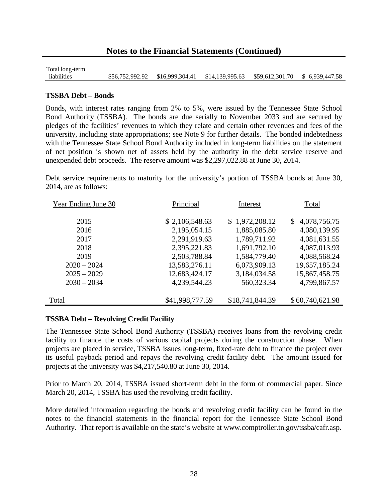Total long-term liabilities \$56,752,992.92 \$16,999,304.41 \$14,139,995.63 \$59,612,301.70 \$ 6,939,447.58

#### **TSSBA Debt – Bonds**

Bonds, with interest rates ranging from 2% to 5%, were issued by the Tennessee State School Bond Authority (TSSBA). The bonds are due serially to November 2033 and are secured by pledges of the facilities' revenues to which they relate and certain other revenues and fees of the university, including state appropriations; see Note 9 for further details. The bonded indebtedness with the Tennessee State School Bond Authority included in long-term liabilities on the statement of net position is shown net of assets held by the authority in the debt service reserve and unexpended debt proceeds. The reserve amount was \$2,297,022.88 at June 30, 2014.

Debt service requirements to maturity for the university's portion of TSSBA bonds at June 30, 2014, are as follows:

| Year Ending June 30 | Principal       |                 | Total           |
|---------------------|-----------------|-----------------|-----------------|
| 2015                | \$2,106,548.63  | \$1,972,208.12  | \$4,078,756.75  |
| 2016                | 2,195,054.15    | 1,885,085.80    | 4,080,139.95    |
| 2017                | 2,291,919.63    | 1,789,711.92    | 4,081,631.55    |
| 2018                | 2,395,221.83    | 1,691,792.10    | 4,087,013.93    |
| 2019                | 2,503,788.84    | 1,584,779.40    | 4,088,568.24    |
| $2020 - 2024$       | 13,583,276.11   | 6,073,909.13    | 19,657,185.24   |
| $2025 - 2029$       | 12,683,424.17   | 3,184,034.58    | 15,867,458.75   |
| $2030 - 2034$       | 4,239,544.23    | 560,323.34      | 4,799,867.57    |
|                     |                 |                 |                 |
| Total               | \$41,998,777.59 | \$18,741,844.39 | \$60,740,621.98 |

#### **TSSBA Debt – Revolving Credit Facility**

The Tennessee State School Bond Authority (TSSBA) receives loans from the revolving credit facility to finance the costs of various capital projects during the construction phase. When projects are placed in service, TSSBA issues long-term, fixed-rate debt to finance the project over its useful payback period and repays the revolving credit facility debt. The amount issued for projects at the university was \$4,217,540.80 at June 30, 2014.

Prior to March 20, 2014, TSSBA issued short-term debt in the form of commercial paper. Since March 20, 2014, TSSBA has used the revolving credit facility.

More detailed information regarding the bonds and revolving credit facility can be found in the notes to the financial statements in the financial report for the Tennessee State School Bond Authority. That report is available on the state's website at www.comptroller.tn.gov/tssba/cafr.asp.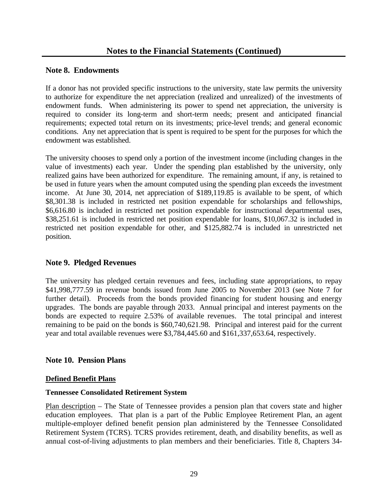## **Note 8. Endowments**

If a donor has not provided specific instructions to the university, state law permits the university to authorize for expenditure the net appreciation (realized and unrealized) of the investments of endowment funds. When administering its power to spend net appreciation, the university is required to consider its long-term and short-term needs; present and anticipated financial requirements; expected total return on its investments; price-level trends; and general economic conditions. Any net appreciation that is spent is required to be spent for the purposes for which the endowment was established.

The university chooses to spend only a portion of the investment income (including changes in the value of investments) each year. Under the spending plan established by the university, only realized gains have been authorized for expenditure. The remaining amount, if any, is retained to be used in future years when the amount computed using the spending plan exceeds the investment income. At June 30, 2014, net appreciation of \$189,119.85 is available to be spent, of which \$8,301.38 is included in restricted net position expendable for scholarships and fellowships, \$6,616.80 is included in restricted net position expendable for instructional departmental uses, \$38,251.61 is included in restricted net position expendable for loans, \$10,067.32 is included in restricted net position expendable for other, and \$125,882.74 is included in unrestricted net position.

## **Note 9. Pledged Revenues**

The university has pledged certain revenues and fees, including state appropriations, to repay \$41,998,777.59 in revenue bonds issued from June 2005 to November 2013 (see Note 7 for further detail). Proceeds from the bonds provided financing for student housing and energy upgrades. The bonds are payable through 2033. Annual principal and interest payments on the bonds are expected to require 2.53% of available revenues. The total principal and interest remaining to be paid on the bonds is \$60,740,621.98. Principal and interest paid for the current year and total available revenues were \$3,784,445.60 and \$161,337,653.64, respectively.

## **Note 10. Pension Plans**

## **Defined Benefit Plans**

## **Tennessee Consolidated Retirement System**

Plan description – The State of Tennessee provides a pension plan that covers state and higher education employees. That plan is a part of the Public Employee Retirement Plan, an agent multiple-employer defined benefit pension plan administered by the Tennessee Consolidated Retirement System (TCRS). TCRS provides retirement, death, and disability benefits, as well as annual cost-of-living adjustments to plan members and their beneficiaries. Title 8, Chapters 34-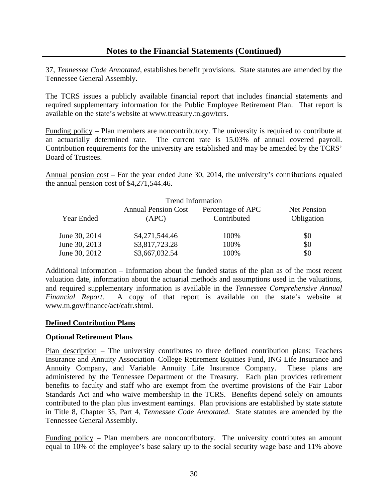37, *Tennessee Code Annotated*, establishes benefit provisions. State statutes are amended by the Tennessee General Assembly.

The TCRS issues a publicly available financial report that includes financial statements and required supplementary information for the Public Employee Retirement Plan. That report is available on the state's website at www.treasury.tn.gov/tcrs.

Funding policy – Plan members are noncontributory. The university is required to contribute at an actuarially determined rate. The current rate is 15.03% of annual covered payroll. Contribution requirements for the university are established and may be amended by the TCRS' Board of Trustees.

Annual pension cost – For the year ended June 30, 2014, the university's contributions equaled the annual pension cost of \$4,271,544.46.

|               | <b>Trend Information</b>            |                                  |                                  |
|---------------|-------------------------------------|----------------------------------|----------------------------------|
| Year Ended    | <b>Annual Pension Cost</b><br>(APC) | Percentage of APC<br>Contributed | <b>Net Pension</b><br>Obligation |
| June 30, 2014 | \$4,271,544.46                      | 100%                             | \$0                              |
| June 30, 2013 | \$3,817,723.28                      | 100%                             | \$0                              |
| June 30, 2012 | \$3,667,032.54                      | 100%                             | \$0                              |

Additional information – Information about the funded status of the plan as of the most recent valuation date, information about the actuarial methods and assumptions used in the valuations, and required supplementary information is available in the *Tennessee Comprehensive Annual Financial Report*. A copy of that report is available on the state's website at www.tn.gov/finance/act/cafr.shtml.

## **Defined Contribution Plans**

#### **Optional Retirement Plans**

Plan description – The university contributes to three defined contribution plans: Teachers Insurance and Annuity Association–College Retirement Equities Fund, ING Life Insurance and Annuity Company, and Variable Annuity Life Insurance Company. These plans are administered by the Tennessee Department of the Treasury. Each plan provides retirement benefits to faculty and staff who are exempt from the overtime provisions of the Fair Labor Standards Act and who waive membership in the TCRS. Benefits depend solely on amounts contributed to the plan plus investment earnings. Plan provisions are established by state statute in Title 8, Chapter 35, Part 4, *Tennessee Code Annotated*. State statutes are amended by the Tennessee General Assembly.

Funding policy – Plan members are noncontributory. The university contributes an amount equal to 10% of the employee's base salary up to the social security wage base and 11% above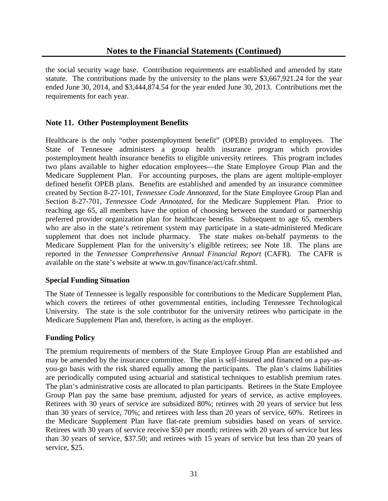the social security wage base. Contribution requirements are established and amended by state statute. The contributions made by the university to the plans were \$3,667,921.24 for the year ended June 30, 2014, and \$3,444,874.54 for the year ended June 30, 2013. Contributions met the requirements for each year.

## **Note 11. Other Postemployment Benefits**

Healthcare is the only "other postemployment benefit" (OPEB) provided to employees. The State of Tennessee administers a group health insurance program which provides postemployment health insurance benefits to eligible university retirees. This program includes two plans available to higher education employees—the State Employee Group Plan and the Medicare Supplement Plan. For accounting purposes, the plans are agent multiple-employer defined benefit OPEB plans. Benefits are established and amended by an insurance committee created by Section 8-27-101, *Tennessee Code Annotated,* for the State Employee Group Plan and Section 8-27-701, *Tennessee Code Annotated,* for the Medicare Supplement Plan. Prior to reaching age 65, all members have the option of choosing between the standard or partnership preferred provider organization plan for healthcare benefits. Subsequent to age 65, members who are also in the state's retirement system may participate in a state-administered Medicare supplement that does not include pharmacy. The state makes on-behalf payments to the Medicare Supplement Plan for the university's eligible retirees; see Note 18. The plans are reported in the *Tennessee Comprehensive Annual Financial Report* (CAFR). The CAFR is available on the state's website at www.tn.gov/finance/act/cafr.shtml.

#### **Special Funding Situation**

The State of Tennessee is legally responsible for contributions to the Medicare Supplement Plan, which covers the retirees of other governmental entities, including Tennessee Technological University. The state is the sole contributor for the university retirees who participate in the Medicare Supplement Plan and, therefore, is acting as the employer.

## **Funding Policy**

The premium requirements of members of the State Employee Group Plan are established and may be amended by the insurance committee. The plan is self-insured and financed on a pay-asyou-go basis with the risk shared equally among the participants. The plan's claims liabilities are periodically computed using actuarial and statistical techniques to establish premium rates. The plan's administrative costs are allocated to plan participants. Retirees in the State Employee Group Plan pay the same base premium, adjusted for years of service, as active employees. Retirees with 30 years of service are subsidized 80%; retirees with 20 years of service but less than 30 years of service, 70%; and retirees with less than 20 years of service, 60%. Retirees in the Medicare Supplement Plan have flat-rate premium subsidies based on years of service. Retirees with 30 years of service receive \$50 per month; retirees with 20 years of service but less than 30 years of service, \$37.50; and retirees with 15 years of service but less than 20 years of service, \$25.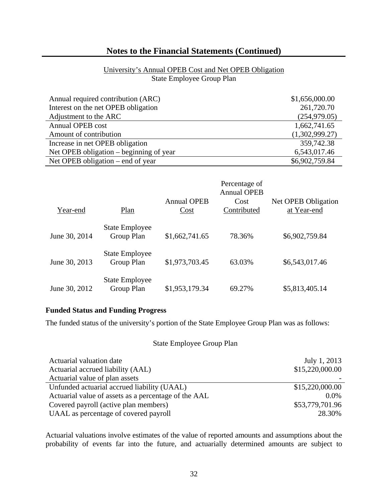## University's Annual OPEB Cost and Net OPEB Obligation State Employee Group Plan

| Annual required contribution (ARC)      | \$1,656,000.00 |
|-----------------------------------------|----------------|
| Interest on the net OPEB obligation     | 261,720.70     |
| Adjustment to the ARC                   | (254, 979.05)  |
| <b>Annual OPEB cost</b>                 | 1,662,741.65   |
| Amount of contribution                  | (1,302,999.27) |
| Increase in net OPEB obligation         | 359,742.38     |
| Net OPEB obligation – beginning of year | 6,543,017.46   |
| Net OPEB obligation – end of year       | \$6,902,759.84 |

| Year-end      | Plan                                | <b>Annual OPEB</b><br>Cost | Percentage of<br><b>Annual OPEB</b><br>Cost<br>Contributed | Net OPEB Obligation<br>at Year-end |
|---------------|-------------------------------------|----------------------------|------------------------------------------------------------|------------------------------------|
| June 30, 2014 | <b>State Employee</b><br>Group Plan | \$1,662,741.65             | 78.36%                                                     | \$6,902,759.84                     |
| June 30, 2013 | <b>State Employee</b><br>Group Plan | \$1,973,703.45             | 63.03%                                                     | \$6,543,017.46                     |
| June 30, 2012 | <b>State Employee</b><br>Group Plan | \$1,953,179.34             | 69.27%                                                     | \$5,813,405.14                     |

#### **Funded Status and Funding Progress**

The funded status of the university's portion of the State Employee Group Plan was as follows:

#### State Employee Group Plan

| Actuarial valuation date                             | July 1, 2013    |
|------------------------------------------------------|-----------------|
| Actuarial accrued liability (AAL)                    | \$15,220,000.00 |
| Actuarial value of plan assets                       |                 |
| Unfunded actuarial accrued liability (UAAL)          | \$15,220,000.00 |
| Actuarial value of assets as a percentage of the AAL | $0.0\%$         |
| Covered payroll (active plan members)                | \$53,779,701.96 |
| UAAL as percentage of covered payroll                | 28.30%          |

Actuarial valuations involve estimates of the value of reported amounts and assumptions about the probability of events far into the future, and actuarially determined amounts are subject to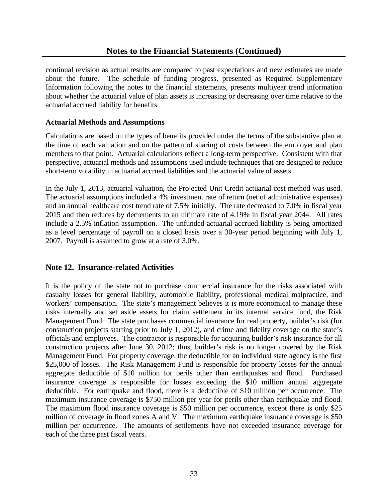continual revision as actual results are compared to past expectations and new estimates are made about the future. The schedule of funding progress, presented as Required Supplementary Information following the notes to the financial statements, presents multiyear trend information about whether the actuarial value of plan assets is increasing or decreasing over time relative to the actuarial accrued liability for benefits.

#### **Actuarial Methods and Assumptions**

Calculations are based on the types of benefits provided under the terms of the substantive plan at the time of each valuation and on the pattern of sharing of costs between the employer and plan members to that point. Actuarial calculations reflect a long-term perspective. Consistent with that perspective, actuarial methods and assumptions used include techniques that are designed to reduce short-term volatility in actuarial accrued liabilities and the actuarial value of assets.

In the July 1, 2013, actuarial valuation, the Projected Unit Credit actuarial cost method was used. The actuarial assumptions included a 4% investment rate of return (net of administrative expenses) and an annual healthcare cost trend rate of 7.5% initially. The rate decreased to 7.0% in fiscal year 2015 and then reduces by decrements to an ultimate rate of 4.19% in fiscal year 2044. All rates include a 2.5% inflation assumption. The unfunded actuarial accrued liability is being amortized as a level percentage of payroll on a closed basis over a 30-year period beginning with July 1, 2007. Payroll is assumed to grow at a rate of 3.0%.

## **Note 12. Insurance-related Activities**

It is the policy of the state not to purchase commercial insurance for the risks associated with casualty losses for general liability, automobile liability, professional medical malpractice, and workers' compensation. The state's management believes it is more economical to manage these risks internally and set aside assets for claim settlement in its internal service fund, the Risk Management Fund. The state purchases commercial insurance for real property, builder's risk (for construction projects starting prior to July 1, 2012), and crime and fidelity coverage on the state's officials and employees. The contractor is responsible for acquiring builder's risk insurance for all construction projects after June 30, 2012; thus, builder's risk is no longer covered by the Risk Management Fund. For property coverage, the deductible for an individual state agency is the first \$25,000 of losses. The Risk Management Fund is responsible for property losses for the annual aggregate deductible of \$10 million for perils other than earthquakes and flood. Purchased insurance coverage is responsible for losses exceeding the \$10 million annual aggregate deductible. For earthquake and flood, there is a deductible of \$10 million per occurrence. The maximum insurance coverage is \$750 million per year for perils other than earthquake and flood. The maximum flood insurance coverage is \$50 million per occurrence, except there is only \$25 million of coverage in flood zones A and V. The maximum earthquake insurance coverage is \$50 million per occurrence. The amounts of settlements have not exceeded insurance coverage for each of the three past fiscal years.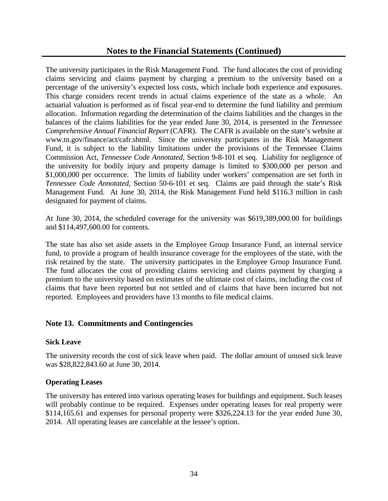The university participates in the Risk Management Fund. The fund allocates the cost of providing claims servicing and claims payment by charging a premium to the university based on a percentage of the university's expected loss costs, which include both experience and exposures. This charge considers recent trends in actual claims experience of the state as a whole. An actuarial valuation is performed as of fiscal year-end to determine the fund liability and premium allocation. Information regarding the determination of the claims liabilities and the changes in the balances of the claims liabilities for the year ended June 30, 2014, is presented in the *Tennessee Comprehensive Annual Financial Report* (CAFR). The CAFR is available on the state's website at www.tn.gov/finance/act/cafr.shtml. Since the university participates in the Risk Management Fund, it is subject to the liability limitations under the provisions of the Tennessee Claims Commission Act, *Tennessee Code Annotated*, Section 9-8-101 et seq. Liability for negligence of the university for bodily injury and property damage is limited to \$300,000 per person and \$1,000,000 per occurrence. The limits of liability under workers' compensation are set forth in *Tennessee Code Annotated,* Section 50-6-101 et seq. Claims are paid through the state's Risk Management Fund. At June 30, 2014, the Risk Management Fund held \$116.3 million in cash designated for payment of claims.

At June 30, 2014, the scheduled coverage for the university was \$619,389,000.00 for buildings and \$114,497,600.00 for contents.

The state has also set aside assets in the Employee Group Insurance Fund, an internal service fund, to provide a program of health insurance coverage for the employees of the state, with the risk retained by the state. The university participates in the Employee Group Insurance Fund. The fund allocates the cost of providing claims servicing and claims payment by charging a premium to the university based on estimates of the ultimate cost of claims, including the cost of claims that have been reported but not settled and of claims that have been incurred but not reported. Employees and providers have 13 months to file medical claims.

## **Note 13. Commitments and Contingencies**

#### **Sick Leave**

The university records the cost of sick leave when paid. The dollar amount of unused sick leave was \$28,822,843.60 at June 30, 2014.

## **Operating Leases**

The university has entered into various operating leases for buildings and equipment. Such leases will probably continue to be required. Expenses under operating leases for real property were \$114,165.61 and expenses for personal property were \$326,224.13 for the year ended June 30, 2014. All operating leases are cancelable at the lessee's option.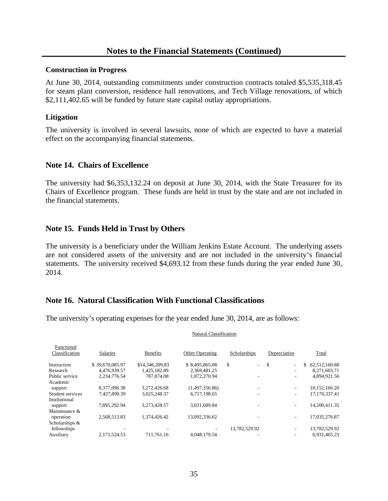#### **Construction in Progress**

At June 30, 2014, outstanding commitments under construction contracts totaled \$5,535,318.45 for steam plant conversion, residence hall renovations, and Tech Village renovations, of which \$2,111,402.65 will be funded by future state capital outlay appropriations.

#### **Litigation**

The university is involved in several lawsuits, none of which are expected to have a material effect on the accompanying financial statements.

## **Note 14. Chairs of Excellence**

The university had \$6,353,132.24 on deposit at June 30, 2014, with the State Treasurer for its Chairs of Excellence program. These funds are held in trust by the state and are not included in the financial statements.

## **Note 15. Funds Held in Trust by Others**

The university is a beneficiary under the William Jenkins Estate Account. The underlying assets are not considered assets of the university and are not included in the university's financial statements. The university received \$4,693.12 from these funds during the year ended June 30, 2014.

## **Note 16. Natural Classification With Functional Classifications**

The university's operating expenses for the year ended June 30, 2014, are as follows:

| Functional<br>Classification | Salaries        | <b>Benefits</b> | <b>Other Operating</b> | Scholarships  | Depreciation                   | Total               |
|------------------------------|-----------------|-----------------|------------------------|---------------|--------------------------------|---------------------|
| Instruction                  | \$39,670,085.97 | \$14,346,209.83 | \$8.495.865.08         | \$<br>$\sim$  | \$<br>$\overline{\phantom{0}}$ | 62,512,160.88<br>\$ |
| Research                     | 4.476.939.57    | 1.425.182.89    | 2,369,481.25           |               | ۰                              | 8,271,603.71        |
| Public service               | 2.234.776.54    | 787,874.08      | 1.872.270.94           |               | $\overline{\phantom{a}}$       | 4.894.921.56        |
| Academic                     |                 |                 |                        |               |                                |                     |
| support                      | 8,377,096.38    | 3.272.426.68    | (1,497,356.86)         |               | Ξ.                             | 10,152,166.20       |
| Student services             | 7.427.890.39    | 3.025.248.37    | 6,717,198.65           |               | $\overline{\phantom{a}}$       | 17,170,337.41       |
| Institutional                |                 |                 |                        |               |                                |                     |
| support                      | 7,895,292.94    | 3.273.428.57    | 3,031,689.84           |               | ٠                              | 14,200,411.35       |
| Maintenance &                |                 |                 |                        |               |                                |                     |
| operation                    | 2,568,513.83    | 1.374.426.42    | 13.092.336.62          |               | ٠                              | 17,035,276.87       |
| Scholarships &               |                 |                 |                        |               |                                |                     |
| fellowships                  |                 |                 |                        | 13,782,529.92 | ۰                              | 13,782,529.92       |
| Auxiliary                    | 2.171.524.53    | 711.761.16      | 4.048.179.54           |               |                                | 6.931.465.23        |

#### Natural Classification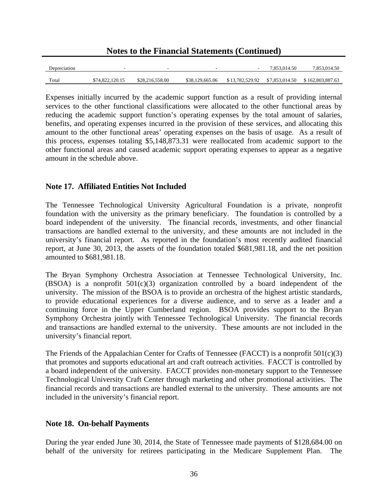**Notes to the Financial Statements (Continued)** 

| Depreciation |                 |                 | -               | $\sim$ | 7.853.014.50 | 7.853.014.50 |
|--------------|-----------------|-----------------|-----------------|--------|--------------|--------------|
| Total        | \$74,822,120.15 | \$28,216,558.00 | \$38,129,665.06 |        |              |              |

Expenses initially incurred by the academic support function as a result of providing internal services to the other functional classifications were allocated to the other functional areas by reducing the academic support function's operating expenses by the total amount of salaries, benefits, and operating expenses incurred in the provision of these services, and allocating this amount to the other functional areas' operating expenses on the basis of usage. As a result of this process, expenses totaling \$5,148,873.31 were reallocated from academic support to the other functional areas and caused academic support operating expenses to appear as a negative amount in the schedule above.

## **Note 17. Affiliated Entities Not Included**

The Tennessee Technological University Agricultural Foundation is a private, nonprofit foundation with the university as the primary beneficiary. The foundation is controlled by a board independent of the university. The financial records, investments, and other financial transactions are handled external to the university, and these amounts are not included in the university's financial report. As reported in the foundation's most recently audited financial report, at June 30, 2013, the assets of the foundation totaled \$681,981.18, and the net position amounted to \$681,981.18.

The Bryan Symphony Orchestra Association at Tennessee Technological University, Inc. (BSOA) is a nonprofit  $501(c)(3)$  organization controlled by a board independent of the university. The mission of the BSOA is to provide an orchestra of the highest artistic standards, to provide educational experiences for a diverse audience, and to serve as a leader and a continuing force in the Upper Cumberland region. BSOA provides support to the Bryan Symphony Orchestra jointly with Tennessee Technological University. The financial records and transactions are handled external to the university. These amounts are not included in the university's financial report.

The Friends of the Appalachian Center for Crafts of Tennessee (FACCT) is a nonprofit  $501(c)(3)$ that promotes and supports educational art and craft outreach activities. FACCT is controlled by a board independent of the university. FACCT provides non-monetary support to the Tennessee Technological University Craft Center through marketing and other promotional activities. The financial records and transactions are handled external to the university. These amounts are not included in the university's financial report.

## **Note 18. On-behalf Payments**

During the year ended June 30, 2014, the State of Tennessee made payments of \$128,684.00 on behalf of the university for retirees participating in the Medicare Supplement Plan. The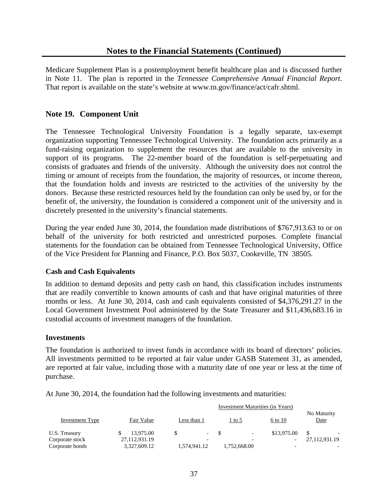Medicare Supplement Plan is a postemployment benefit healthcare plan and is discussed further in Note 11. The plan is reported in the *Tennessee Comprehensive Annual Financial Report*. That report is available on the state's website at www.tn.gov/finance/act/cafr.shtml.

## **Note 19. Component Unit**

The Tennessee Technological University Foundation is a legally separate, tax-exempt organization supporting Tennessee Technological University. The foundation acts primarily as a fund-raising organization to supplement the resources that are available to the university in support of its programs. The 22-member board of the foundation is self-perpetuating and consists of graduates and friends of the university. Although the university does not control the timing or amount of receipts from the foundation, the majority of resources, or income thereon, that the foundation holds and invests are restricted to the activities of the university by the donors. Because these restricted resources held by the foundation can only be used by, or for the benefit of, the university, the foundation is considered a component unit of the university and is discretely presented in the university's financial statements.

During the year ended June 30, 2014, the foundation made distributions of \$767,913.63 to or on behalf of the university for both restricted and unrestricted purposes. Complete financial statements for the foundation can be obtained from Tennessee Technological University, Office of the Vice President for Planning and Finance, P.O. Box 5037, Cookeville, TN 38505.

## **Cash and Cash Equivalents**

In addition to demand deposits and petty cash on hand, this classification includes instruments that are readily convertible to known amounts of cash and that have original maturities of three months or less. At June 30, 2014, cash and cash equivalents consisted of \$4,376,291.27 in the Local Government Investment Pool administered by the State Treasurer and \$11,436,683.16 in custodial accounts of investment managers of the foundation.

#### **Investments**

The foundation is authorized to invest funds in accordance with its board of directors' policies. All investments permitted to be reported at fair value under GASB Statement 31, as amended, are reported at fair value, including those with a maturity date of one year or less at the time of purchase.

At June 30, 2014, the foundation had the following investments and maturities:

|                        |               | Investment Maturities (in Years) |                                   |             |                     |
|------------------------|---------------|----------------------------------|-----------------------------------|-------------|---------------------|
| <b>Investment Type</b> | Fair Value    | Less than 1                      | 1 to 5                            | 6 to 10     | No Maturity<br>Date |
| U.S. Treasury          | 13,975.00     |                                  | $-$ S<br>$\overline{\phantom{a}}$ | \$13,975.00 |                     |
| Corporate stock        | 27,112,931.19 |                                  | $\overline{\phantom{0}}$          |             | 27,112,931.19       |
| Corporate bonds        | 3,327,609.12  | 1,574,941.12                     | 1,752,668.00                      |             |                     |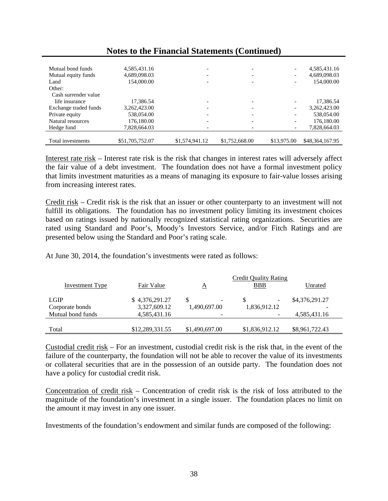| Mutual bond funds<br>Mutual equity funds<br>Land<br>Other: | 4,585,431.16<br>4,689,098.03<br>154,000.00 |                | $\overline{\phantom{0}}$<br>$\overline{\phantom{0}}$ | -           | 4,585,431.16<br>4,689,098.03<br>154,000.00 |
|------------------------------------------------------------|--------------------------------------------|----------------|------------------------------------------------------|-------------|--------------------------------------------|
| Cash surrender value                                       |                                            |                |                                                      |             |                                            |
| life insurance                                             | 17,386.54                                  |                |                                                      |             | 17,386.54                                  |
| Exchange traded funds                                      | 3,262,423.00                               |                | $\overline{\phantom{0}}$                             | -           | 3,262,423.00                               |
| Private equity                                             | 538,054.00                                 |                | $\overline{\phantom{a}}$                             | -           | 538,054.00                                 |
| Natural resources                                          | 176,180.00                                 |                |                                                      |             | 176,180.00                                 |
| Hedge fund                                                 | 7.828.664.03                               |                |                                                      |             | 7,828,664.03                               |
|                                                            |                                            |                |                                                      |             |                                            |
| Total investments                                          | \$51,705,752.07                            | \$1,574,941.12 | \$1,752,668.00                                       | \$13,975.00 | \$48,364,167.95                            |

Interest rate risk – Interest rate risk is the risk that changes in interest rates will adversely affect the fair value of a debt investment. The foundation does not have a formal investment policy that limits investment maturities as a means of managing its exposure to fair-value losses arising from increasing interest rates.

Credit risk – Credit risk is the risk that an issuer or other counterparty to an investment will not fulfill its obligations. The foundation has no investment policy limiting its investment choices based on ratings issued by nationally recognized statistical rating organizations. Securities are rated using Standard and Poor's, Moody's Investors Service, and/or Fitch Ratings and are presented below using the Standard and Poor's rating scale.

At June 30, 2014, the foundation's investments were rated as follows:

|                        |                 |                          | <b>Credit Quality Rating</b> |                |
|------------------------|-----------------|--------------------------|------------------------------|----------------|
| <b>Investment Type</b> | Fair Value      | <u>A</u>                 | <b>BBB</b>                   | Unrated        |
|                        |                 |                          |                              |                |
| <b>LGIP</b>            | \$4,376,291.27  | $\overline{\phantom{a}}$ | $\overline{\phantom{a}}$     | \$4,376,291.27 |
| Corporate bonds        | 3,327,609.12    | 1,490,697.00             | 1,836,912.12                 |                |
| Mutual bond funds      | 4,585,431.16    |                          |                              | 4,585,431.16   |
|                        |                 |                          |                              |                |
| Total                  | \$12,289,331.55 | \$1,490,697.00           | \$1,836,912.12               | \$8,961,722.43 |

Custodial credit risk – For an investment, custodial credit risk is the risk that, in the event of the failure of the counterparty, the foundation will not be able to recover the value of its investments or collateral securities that are in the possession of an outside party. The foundation does not have a policy for custodial credit risk.

Concentration of credit risk – Concentration of credit risk is the risk of loss attributed to the magnitude of the foundation's investment in a single issuer. The foundation places no limit on the amount it may invest in any one issuer.

Investments of the foundation's endowment and similar funds are composed of the following: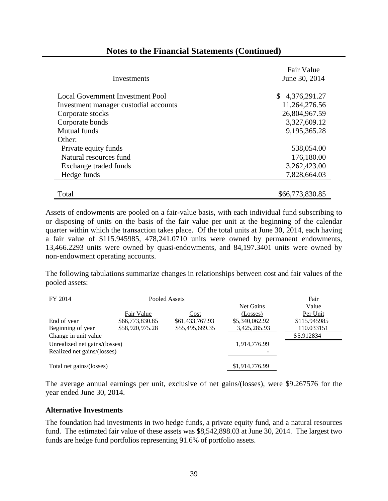|                                         | Fair Value      |
|-----------------------------------------|-----------------|
| Investments                             | June 30, 2014   |
|                                         |                 |
| <b>Local Government Investment Pool</b> | \$4,376,291.27  |
| Investment manager custodial accounts   | 11,264,276.56   |
| Corporate stocks                        | 26,804,967.59   |
| Corporate bonds                         | 3,327,609.12    |
| <b>Mutual funds</b>                     | 9,195,365.28    |
| Other:                                  |                 |
| Private equity funds                    | 538,054.00      |
| Natural resources fund                  | 176,180.00      |
| Exchange traded funds                   | 3,262,423.00    |
| Hedge funds                             | 7,828,664.03    |
|                                         |                 |
| Total                                   | \$66,773,830.85 |

Assets of endowments are pooled on a fair-value basis, with each individual fund subscribing to or disposing of units on the basis of the fair value per unit at the beginning of the calendar quarter within which the transaction takes place. Of the total units at June 30, 2014, each having a fair value of \$115.945985, 478,241.0710 units were owned by permanent endowments, 13,466.2293 units were owned by quasi-endowments, and 84,197.3401 units were owned by non-endowment operating accounts.

The following tabulations summarize changes in relationships between cost and fair values of the pooled assets:

| FY 2014                       |                 | Pooled Assets   |                | Fair         |
|-------------------------------|-----------------|-----------------|----------------|--------------|
|                               |                 |                 | Net Gains      | Value        |
|                               | Fair Value      | Cost            | (Losses)       | Per Unit     |
| End of year                   | \$66,773,830.85 | \$61,433,767.93 | \$5,340,062.92 | \$115.945985 |
| Beginning of year             | \$58,920,975.28 | \$55,495,689.35 | 3,425,285.93   | 110.033151   |
| Change in unit value          |                 |                 | \$5.912834     |              |
| Unrealized net gains/(losses) |                 | 1,914,776.99    |                |              |
| Realized net gains/(losses)   |                 |                 |                |              |
| Total net gains/(losses)      |                 |                 | \$1,914,776.99 |              |
|                               |                 |                 |                |              |

The average annual earnings per unit, exclusive of net gains/(losses), were \$9.267576 for the year ended June 30, 2014.

## **Alternative Investments**

The foundation had investments in two hedge funds, a private equity fund, and a natural resources fund. The estimated fair value of these assets was \$8,542,898.03 at June 30, 2014. The largest two funds are hedge fund portfolios representing 91.6% of portfolio assets.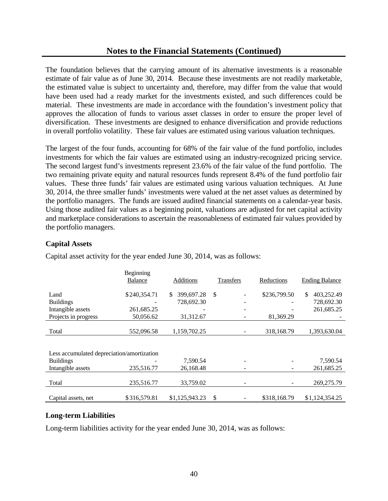The foundation believes that the carrying amount of its alternative investments is a reasonable estimate of fair value as of June 30, 2014. Because these investments are not readily marketable, the estimated value is subject to uncertainty and, therefore, may differ from the value that would have been used had a ready market for the investments existed, and such differences could be material. These investments are made in accordance with the foundation's investment policy that approves the allocation of funds to various asset classes in order to ensure the proper level of diversification. These investments are designed to enhance diversification and provide reductions in overall portfolio volatility. These fair values are estimated using various valuation techniques.

The largest of the four funds, accounting for 68% of the fair value of the fund portfolio, includes investments for which the fair values are estimated using an industry-recognized pricing service. The second largest fund's investments represent 23.6% of the fair value of the fund portfolio. The two remaining private equity and natural resources funds represent 8.4% of the fund portfolio fair values. These three funds' fair values are estimated using various valuation techniques. At June 30, 2014, the three smaller funds' investments were valued at the net asset values as determined by the portfolio managers. The funds are issued audited financial statements on a calendar-year basis. Using those audited fair values as a beginning point, valuations are adjusted for net capital activity and marketplace considerations to ascertain the reasonableness of estimated fair values provided by the portfolio managers.

#### **Capital Assets**

|                                            | Beginning<br><b>Balance</b> | <b>Additions</b> | <b>Transfers</b> | Reductions   | <b>Ending Balance</b> |
|--------------------------------------------|-----------------------------|------------------|------------------|--------------|-----------------------|
| Land                                       | \$240,354.71                | 399,697.28<br>\$ | $\mathbb{S}$     | \$236,799.50 | 403,252.49<br>\$.     |
| <b>Buildings</b>                           |                             | 728,692.30       |                  |              | 728,692.30            |
| Intangible assets                          | 261,685.25                  |                  |                  |              | 261,685.25            |
| Projects in progress                       | 50,056.62                   | 31,312.67        |                  | 81,369.29    |                       |
|                                            |                             |                  |                  |              |                       |
| Total                                      | 552,096.58                  | 1,159,702.25     |                  | 318,168.79   | 1,393,630.04          |
|                                            |                             |                  |                  |              |                       |
| Less accumulated depreciation/amortization |                             |                  |                  |              |                       |
| <b>Buildings</b>                           |                             | 7,590.54         |                  |              | 7,590.54              |
| Intangible assets                          | 235,516.77                  | 26,168.48        |                  |              | 261,685.25            |
|                                            |                             |                  |                  |              |                       |
| Total                                      | 235,516.77                  | 33,759.02        |                  |              | 269,275.79            |
| Capital assets, net                        | \$316,579.81                | \$1,125,943.23   | \$               | \$318,168.79 | \$1,124,354.25        |

Capital asset activity for the year ended June 30, 2014, was as follows:

#### **Long-term Liabilities**

Long-term liabilities activity for the year ended June 30, 2014, was as follows: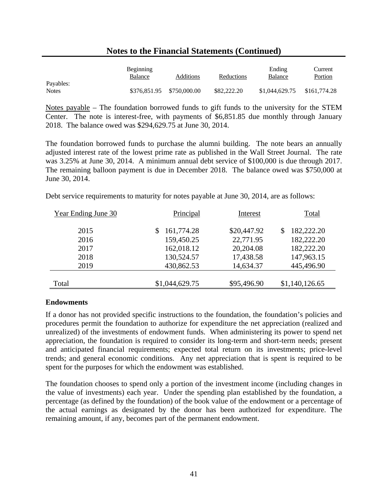|                           | <b>Beginning</b><br>Balance | Additions    | Reductions  | Ending<br>Balance | Current<br>Portion |
|---------------------------|-----------------------------|--------------|-------------|-------------------|--------------------|
| Payables:<br><b>Notes</b> | \$376,851.95                | \$750,000.00 | \$82,222,20 | \$1,044,629.75    | \$161,774.28       |

Notes payable – The foundation borrowed funds to gift funds to the university for the STEM Center. The note is interest-free, with payments of \$6,851.85 due monthly through January 2018. The balance owed was \$294,629.75 at June 30, 2014.

The foundation borrowed funds to purchase the alumni building. The note bears an annually adjusted interest rate of the lowest prime rate as published in the Wall Street Journal. The rate was 3.25% at June 30, 2014. A minimum annual debt service of \$100,000 is due through 2017. The remaining balloon payment is due in December 2018. The balance owed was \$750,000 at June 30, 2014.

|  |  |  |  |  | Debt service requirements to maturity for notes payable at June 30, 2014, are as follows: |
|--|--|--|--|--|-------------------------------------------------------------------------------------------|
|--|--|--|--|--|-------------------------------------------------------------------------------------------|

| Year Ending June 30 | Principal      | Interest    | Total          |
|---------------------|----------------|-------------|----------------|
| 2015                | 161,774.28     | \$20,447.92 | 182,222.20     |
| 2016                | 159,450.25     | 22,771.95   | 182,222.20     |
| 2017                | 162,018.12     | 20,204.08   | 182,222.20     |
| 2018                | 130,524.57     | 17,438.58   | 147,963.15     |
| 2019                | 430,862.53     | 14,634.37   | 445,496.90     |
|                     |                |             |                |
| Total               | \$1,044,629.75 | \$95,496.90 | \$1,140,126.65 |

## **Endowments**

If a donor has not provided specific instructions to the foundation, the foundation's policies and procedures permit the foundation to authorize for expenditure the net appreciation (realized and unrealized) of the investments of endowment funds. When administering its power to spend net appreciation, the foundation is required to consider its long-term and short-term needs; present and anticipated financial requirements; expected total return on its investments; price-level trends; and general economic conditions. Any net appreciation that is spent is required to be spent for the purposes for which the endowment was established.

The foundation chooses to spend only a portion of the investment income (including changes in the value of investments) each year. Under the spending plan established by the foundation, a percentage (as defined by the foundation) of the book value of the endowment or a percentage of the actual earnings as designated by the donor has been authorized for expenditure. The remaining amount, if any, becomes part of the permanent endowment.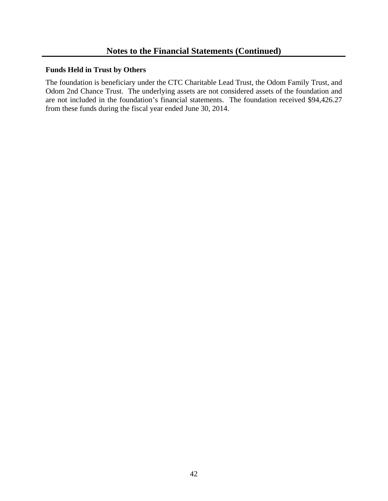#### **Funds Held in Trust by Others**

The foundation is beneficiary under the CTC Charitable Lead Trust, the Odom Family Trust, and Odom 2nd Chance Trust. The underlying assets are not considered assets of the foundation and are not included in the foundation's financial statements. The foundation received \$94,426.27 from these funds during the fiscal year ended June 30, 2014.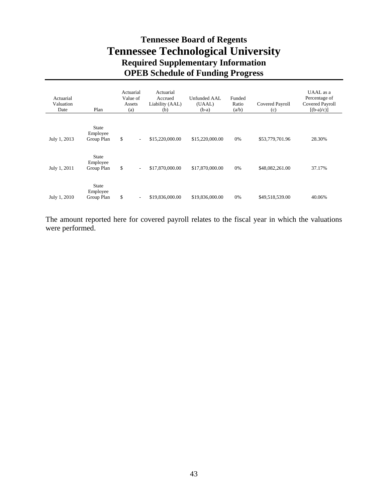# **Tennessee Board of Regents Tennessee Technological University Required Supplementary Information OPEB Schedule of Funding Progress**

| Actuarial<br>Valuation<br>Date | Plan                                   | Actuarial<br>Value of<br>Assets<br>(a) | Actuarial<br>Accrued<br>Liability (AAL)<br>(b) | <b>Unfunded AAL</b><br>(UAAL)<br>$(b-a)$ | Funded<br>Ratio<br>(a/b) | Covered Payroll<br>(c) | UAAL as a<br>Percentage of<br>Covered Payroll<br>$[(b-a)/c]$ |
|--------------------------------|----------------------------------------|----------------------------------------|------------------------------------------------|------------------------------------------|--------------------------|------------------------|--------------------------------------------------------------|
| July 1, 2013                   | <b>State</b><br>Employee<br>Group Plan | \$<br>$\overline{\phantom{a}}$         | \$15,220,000.00                                | \$15,220,000.00                          | 0%                       | \$53,779,701.96        | 28.30%                                                       |
| July 1, 2011                   | State<br>Employee<br>Group Plan        | \$<br>$\overline{\phantom{a}}$         | \$17,870,000.00                                | \$17,870,000.00                          | 0%                       | \$48,082,261.00        | 37.17%                                                       |
| July 1, 2010                   | <b>State</b><br>Employee<br>Group Plan | \$<br>$\overline{\phantom{a}}$         | \$19,836,000.00                                | \$19,836,000.00                          | 0%                       | \$49,518,539.00        | 40.06%                                                       |

The amount reported here for covered payroll relates to the fiscal year in which the valuations were performed.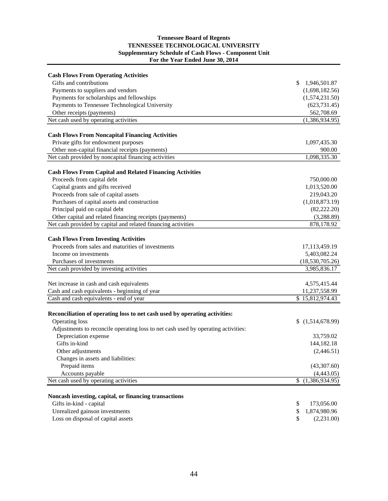#### **Tennessee Board of Regents TENNESSEE TECHNOLOGICAL UNIVERSITY Supplementary Schedule of Cash Flows - Component Unit For the Year Ended June 30, 2014**

| <b>Cash Flows From Operating Activities</b>                                       |                      |
|-----------------------------------------------------------------------------------|----------------------|
| Gifts and contributions                                                           | \$<br>1,946,501.87   |
| Payments to suppliers and vendors                                                 | (1,698,182.56)       |
| Payments for scholarships and fellowships                                         | (1,574,231.50)       |
| Payments to Tennessee Technological University                                    | (623, 731.45)        |
| Other receipts (payments)                                                         | 562,708.69           |
| Net cash used by operating activities                                             | (1,386,934.95)       |
| <b>Cash Flows From Noncapital Financing Activities</b>                            |                      |
| Private gifts for endowment purposes                                              | 1,097,435.30         |
| Other non-capital financial receipts (payments)                                   | 900.00               |
| Net cash provided by noncapital financing activities                              | 1,098,335.30         |
|                                                                                   |                      |
| <b>Cash Flows From Capital and Related Financing Activities</b>                   |                      |
| Proceeds from capital debt                                                        | 750,000.00           |
| Capital grants and gifts received                                                 | 1,013,520.00         |
| Proceeds from sale of capital assets                                              | 219,043.20           |
| Purchases of capital assets and construction                                      | (1,018,873.19)       |
| Principal paid on capital debt                                                    | (82, 222.20)         |
| Other capital and related financing receipts (payments)                           | (3,288.89)           |
| Net cash provided by capital and related financing activities                     | 878,178.92           |
| <b>Cash Flows From Investing Activities</b>                                       |                      |
| Proceeds from sales and maturities of investments                                 | 17,113,459.19        |
| Income on investments                                                             | 5,403,082.24         |
| Purchases of investments                                                          | (18,530,705.26)      |
| Net cash provided by investing activities                                         | 3,985,836.17         |
|                                                                                   |                      |
| Net increase in cash and cash equivalents                                         | 4,575,415.44         |
| Cash and cash equivalents - beginning of year                                     | 11,237,558.99        |
| Cash and cash equivalents - end of year                                           | \$15,812,974.43      |
| Reconciliation of operating loss to net cash used by operating activities:        |                      |
| Operating loss                                                                    | (1,514,678.99)<br>\$ |
| Adjustments to reconcile operating loss to net cash used by operating activities: |                      |
| Depreciation expense                                                              | 33,759.02            |
| Gifts in-kind                                                                     | 144,182.18           |
| Other adjustments                                                                 | (2,446.51)           |
| Changes in assets and liabilities:                                                |                      |
| Prepaid items                                                                     | (43,307.60)          |
| Accounts payable                                                                  | (4,443.05)           |
| Net cash used by operating activities                                             | (1,386,934.95)<br>S. |
|                                                                                   |                      |
| Noncash investing, capital, or financing transactions                             |                      |
| Gifts in-kind - capital                                                           | \$<br>173,056.00     |

Unrealized gainson investments  $\frac{1,874,980.96}{6}$ <br>Loss on disposal of capital assets  $\frac{1,874,980.96}{6}$ Loss on disposal of capital assets  $\qquad$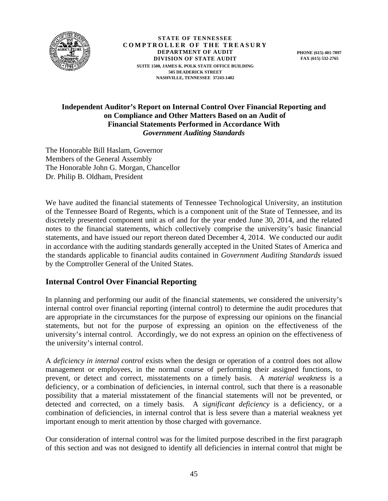

**STATE OF TENNESSEE COMPTROLLER OF THE TREASURY DEPARTMENT OF AUDIT DIVISION OF STATE AUDIT SUITE 1500, JAMES K. POLK STATE OFFICE BUILDING 505 DEADERICK STREET NASHVILLE, TENNESSEE 37243-1402** 

**PHONE (615) 401-7897 FAX (615) 532-2765** 

## **Independent Auditor's Report on Internal Control Over Financial Reporting and on Compliance and Other Matters Based on an Audit of Financial Statements Performed in Accordance With**  *Government Auditing Standards*

The Honorable Bill Haslam, Governor Members of the General Assembly The Honorable John G. Morgan, Chancellor Dr. Philip B. Oldham, President

We have audited the financial statements of Tennessee Technological University, an institution of the Tennessee Board of Regents, which is a component unit of the State of Tennessee, and its discretely presented component unit as of and for the year ended June 30, 2014, and the related notes to the financial statements, which collectively comprise the university's basic financial statements, and have issued our report thereon dated December 4, 2014. We conducted our audit in accordance with the auditing standards generally accepted in the United States of America and the standards applicable to financial audits contained in *Government Auditing Standards* issued by the Comptroller General of the United States.

## **Internal Control Over Financial Reporting**

In planning and performing our audit of the financial statements, we considered the university's internal control over financial reporting (internal control) to determine the audit procedures that are appropriate in the circumstances for the purpose of expressing our opinions on the financial statements, but not for the purpose of expressing an opinion on the effectiveness of the university's internal control. Accordingly, we do not express an opinion on the effectiveness of the university's internal control.

A *deficiency in internal control* exists when the design or operation of a control does not allow management or employees, in the normal course of performing their assigned functions, to prevent, or detect and correct, misstatements on a timely basis. A *material weakness* is a deficiency, or a combination of deficiencies, in internal control, such that there is a reasonable possibility that a material misstatement of the financial statements will not be prevented, or detected and corrected, on a timely basis. A *significant deficiency* is a deficiency, or a combination of deficiencies, in internal control that is less severe than a material weakness yet important enough to merit attention by those charged with governance.

Our consideration of internal control was for the limited purpose described in the first paragraph of this section and was not designed to identify all deficiencies in internal control that might be